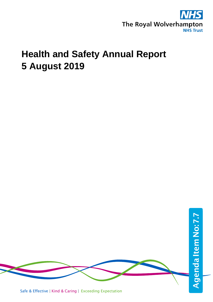

# **Health and Safety Annual Report 5 August 2019**

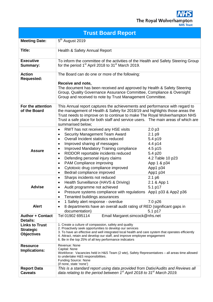S W The Royal Wolverhampton

|  |  | <b>NHS Trust</b> |  |  |  |
|--|--|------------------|--|--|--|

| <b>Trust Board Report</b>                                      |                                                                                                                                                                                                                                                                                                                                                                                                                                                                                                      |                                                                                                                                    |  |  |  |  |
|----------------------------------------------------------------|------------------------------------------------------------------------------------------------------------------------------------------------------------------------------------------------------------------------------------------------------------------------------------------------------------------------------------------------------------------------------------------------------------------------------------------------------------------------------------------------------|------------------------------------------------------------------------------------------------------------------------------------|--|--|--|--|
| <b>Meeting Date:</b>                                           | 5 <sup>th</sup> August 2019                                                                                                                                                                                                                                                                                                                                                                                                                                                                          |                                                                                                                                    |  |  |  |  |
| <b>Title:</b>                                                  | Health & Safety Annual Report                                                                                                                                                                                                                                                                                                                                                                                                                                                                        |                                                                                                                                    |  |  |  |  |
| <b>Executive</b><br><b>Summary:</b>                            | To inform the committee of the activities of the Health and Safety Steering Group<br>for the period 1 <sup>st</sup> April 2018 to 31 <sup>st</sup> March 2019.                                                                                                                                                                                                                                                                                                                                       |                                                                                                                                    |  |  |  |  |
| <b>Action</b><br><b>Requested:</b>                             | The Board can do one or more of the following:<br>Receive and note,<br>The document has been received and approved by Health & Safety Steering<br>Group, Quality Governance Assurance Committee, Compliance & Oversight<br>Group and received to note by Trust Management Committee.                                                                                                                                                                                                                 |                                                                                                                                    |  |  |  |  |
| For the attention<br>of the Board                              | This Annual report captures the achievements and performance with regard to<br>the management of Health & Safety for 2018/19 and highlights those areas the<br>Trust needs to improve on to continue to make The Royal Wolverhampton NHS<br>Trust a safe place for both staff and service users.  The main areas of which are<br>summarised below;                                                                                                                                                   |                                                                                                                                    |  |  |  |  |
| <b>Assure</b>                                                  | RWT has not received any HSE visits<br>$\bullet$<br>Security Management Team Award<br>$\bullet$<br>Overall Incident statistics reduced<br>$\bullet$<br>Improved sharing of messages<br>$\bullet$<br>Improved Mandatory Training compliance<br>$\bullet$<br>RIDDOR reportable incidents reduced<br>$\bullet$<br>Defending personal injury claims<br>$\bullet$<br>PAM Compliance improving<br>$\bullet$<br>Cytotoxic drug compliance improved<br>$\bullet$<br>Bedrail compliance improved<br>$\bullet$ | 2.0 <sub>p3</sub><br>2.1 p9<br>5.4 p19<br>4.4 p14<br>4.5 p15<br>5.4 p20<br>4.2 Table 10 p23<br>App 1 & p34<br>App1 p34<br>App1 p34 |  |  |  |  |
| <b>Advise</b>                                                  | Sharps incidents not reduced<br>$\bullet$<br>Health Surveillance (HAVS & Driving)<br>٠<br>Audit programme not achieved<br>Pressure systems compliance with regulations App1 p33 & App2 p36<br>$\bullet$<br>Tenanted buildings assurances<br>$\bullet$                                                                                                                                                                                                                                                | 2.1 p6<br>2.1 & App 1<br>5.1 p17                                                                                                   |  |  |  |  |
| <b>Alert</b>                                                   | 1 Safety alert response - overdue<br>٠<br>8 departments have an overall audit rating of RED (significant gaps in<br>٠<br>documentation)                                                                                                                                                                                                                                                                                                                                                              | 7.0 p26<br>5.1 p17                                                                                                                 |  |  |  |  |
| <b>Author + Contact</b><br><b>Details:</b>                     | Email Margaret.simcock@nhs.net<br>Tel 01902 695114                                                                                                                                                                                                                                                                                                                                                                                                                                                   |                                                                                                                                    |  |  |  |  |
| <b>Links to Trust</b><br><b>Strategic</b><br><b>Objectives</b> | 1. Create a culture of compassion, safety and quality<br>2. Proactively seek opportunities to develop our services<br>3. To have an effective and well integrated local health and care system that operates efficiently<br>4. Attract, retain and develop our staff, and improve employee engagement<br>6. Be in the top 25% of all key performance indicators                                                                                                                                      |                                                                                                                                    |  |  |  |  |
| <b>Resource</b><br><b>Implications:</b>                        | Revenue: None<br>Capital: None<br>Workforce: Vacancies held in H&S Team (2 wte), Safety Representatives - all areas time allowed<br>to undertake H&S responsibilities.<br>Funding Source: None<br>(if none, state 'none')                                                                                                                                                                                                                                                                            |                                                                                                                                    |  |  |  |  |
| <b>Report Data</b><br><b>Caveats</b>                           | This is a standard report using data provided from Datix/Audits and Reviews all<br>data relating to the period between $1st$ April 2018 to 31 <sup>st</sup> March 2019.                                                                                                                                                                                                                                                                                                                              |                                                                                                                                    |  |  |  |  |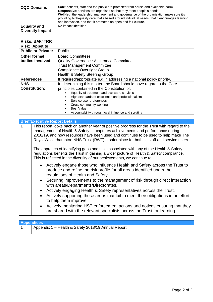| <b>CQC Domains</b>                             | Safe: patients, staff and the public are protected from abuse and avoidable harm.<br>Responsive: services are organised so that they meet people's needs.<br>Well-led: the leadership, management and governance of the organisation make sure it's<br>providing high-quality care that's based around individual needs, that it encourages learning<br>and innovation, and that it promotes an open and fair culture. |  |  |  |
|------------------------------------------------|------------------------------------------------------------------------------------------------------------------------------------------------------------------------------------------------------------------------------------------------------------------------------------------------------------------------------------------------------------------------------------------------------------------------|--|--|--|
| <b>Equality and</b><br><b>Diversity Impact</b> | No impact identified.                                                                                                                                                                                                                                                                                                                                                                                                  |  |  |  |
| <b>Risks: BAF/TRR</b>                          |                                                                                                                                                                                                                                                                                                                                                                                                                        |  |  |  |
| <b>Risk: Appetite</b>                          |                                                                                                                                                                                                                                                                                                                                                                                                                        |  |  |  |
| <b>Public or Private:</b><br><b>Public</b>     |                                                                                                                                                                                                                                                                                                                                                                                                                        |  |  |  |
| Other formal<br>bodies involved:               | <b>Board Committees</b><br><b>Quality Governance Assurance Committee</b><br><b>Trust Management Committee</b><br><b>Compliance Oversight Group</b><br><b>Health &amp; Safety Steering Group</b>                                                                                                                                                                                                                        |  |  |  |
| <b>References</b>                              | If required/appropriate e.g. if addressing a national policy priority.                                                                                                                                                                                                                                                                                                                                                 |  |  |  |
| <b>NHS</b><br><b>Constitution:</b>             | In determining this matter, the Board should have regard to the Core<br>principles contained in the Constitution of:<br>Equality of treatment and access to services<br>High standards of excellence and professionalism<br>Service user preferences<br>Cross community working<br><b>Best Value</b><br>Accountability through local influence and scrutiny                                                            |  |  |  |

| <b>Brief/Executive Report Details</b>                                                                                                                                                                                                                                                                                                                                                                                                                                                                                                                                                                                                                                      |
|----------------------------------------------------------------------------------------------------------------------------------------------------------------------------------------------------------------------------------------------------------------------------------------------------------------------------------------------------------------------------------------------------------------------------------------------------------------------------------------------------------------------------------------------------------------------------------------------------------------------------------------------------------------------------|
| This report looks back on another year of positive progress for the Trust with regard to the<br>management of Health & Safety. It captures achievements and performance during<br>2018/19, and how resources have been used and continues to be used to help make The<br>Royal Wolverhampton NHS Trust (RWT) a safer place for both its staff and service users.<br>The approach of identifying gaps and risks associated with any of the Health & Safety<br>regulations benefits the Trust in gaining a wider picture of Health & Safety compliance.<br>This is reflected in the diversity of our achievements, we continue to:                                           |
| • Actively engage those who influence Health and Safety across the Trust to<br>produce and refine the risk profile for all areas identified under the<br>regulations of Health and Safety.<br>• Securing improvements to the management of risk through direct interaction<br>with areas/Departments/Directorates.<br>Actively engaging Health & Safety representatives across the Trust.<br>Actively supporting those areas that fail to meet their obligations in an effort<br>$\bullet$<br>to help them improve<br>Actively monitoring HSE enforcement actions and notices ensuring that they<br>are shared with the relevant specialists across the Trust for learning |

| <b>Appendices</b> |                                                     |  |  |  |
|-------------------|-----------------------------------------------------|--|--|--|
|                   | Appendix 1 - Health & Safety 2018/19 Annual Report. |  |  |  |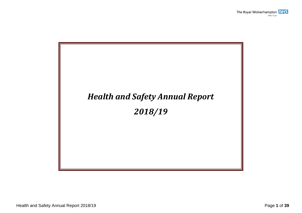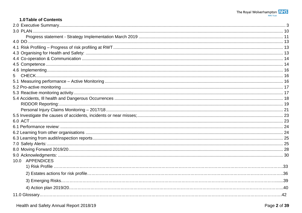#### 1.0 Table of Contents

| 5.              |  |
|-----------------|--|
|                 |  |
|                 |  |
|                 |  |
|                 |  |
|                 |  |
|                 |  |
|                 |  |
|                 |  |
|                 |  |
|                 |  |
|                 |  |
|                 |  |
|                 |  |
|                 |  |
| 10.0 APPENDICES |  |
|                 |  |
|                 |  |
|                 |  |
|                 |  |
|                 |  |
|                 |  |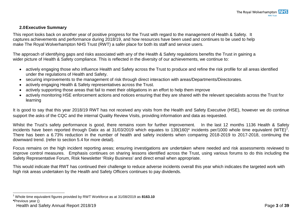#### <span id="page-5-1"></span><span id="page-5-0"></span>**2.0Executive Summary**

This report looks back on another year of positive progress for the Trust with regard to the management of Health & Safety. It captures achievements and performance during 2018/19, and how resources have been used and continues to be used to help make The Royal Wolverhampton NHS Trust (RWT) a safer place for both its staff and service users.

The approach of identifying gaps and risks associated with any of the Health & Safety regulations benefits the Trust in gaining a wider picture of Health & Safety compliance. This is reflected in the diversity of our achievements, we continue to:

- actively engaging those who influence Health and Safety across the Trust to produce and refine the risk profile for all areas identified under the regulations of Health and Safety.
- securing improvements to the management of risk through direct interaction with areas/Departments/Directorates.
- actively engaging Health & Safety representatives across the Trust.
- actively supporting those areas that fail to meet their obligations in an effort to help them improve
- actively monitoring HSE enforcement actions and notices ensuring that they are shared with the relevant specialists across the Trust for learning

It is good to say that this year 2018/19 RWT has not received any visits from the Health and Safety Executive (HSE), however we do continue support the asks of the CQC and the internal Quality Review Visits, providing information and data as requested.

Whilst the Trust's safety performance is good, there remains room for further improvement. In the last 12 months 1136 Health & Safety incidents have been reported through Datix as at 3[1](#page-5-1)/03/2019 which equates to 139(160)\* incidents per/1000 whole time equivalent (WTE)<sup>1</sup>. There has been a 6.73% reduction in the number of health and safety incidents when comparing 2018-2019 to 2017-2018, continuing the downward trend. (refer to section 5.4 for more detail).

Focus remains on the high incident reporting areas; ensuring investigations are undertaken where needed and risk assessments reviewed to improve control measures. Emphasis continues on sharing lessons identified across the Trust, using various forums to do this including the Safety Representative Forum, Risk Newsletter 'Risky Business' and direct email when appropriate.

This would indicate that RWT has continued their challenge to reduce adverse incidents overall this year which indicates the targeted work with high risk areas undertaken by the Health and Safety Officers continues to pay dividends.

 <sup>1</sup> Whole time equivalent figures provided by RWT Workforce as at 31/08/2019 as **8163.10**

**<sup>\*</sup>**Previous year ()

Health and Safety Annual Report 2018/19 **Page 3** of **39**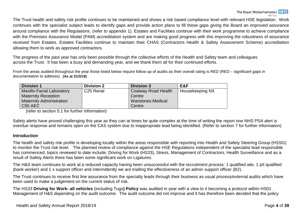The Trust health and safety risk profile continues to be maintained and shows a risk based compliance level with relevant HSE legislation. Work continues with the specialist subject leads to identify gaps and provide action plans to fill these gaps giving the Board an improved assurance around compliance with the Regulations. (refer to appendix 1). Estates and Facilities continue with their work programme to achieve compliance with the Premises Assurance Model (PAM) accreditation system and are making good progress with this improving the robustness of assurance received from Estates. Estates Facilities continue to maintain their CHAS (Contractors Health & Safety Assessment Scheme) accreditation allowing them to work as approved contractors.

The progress of the past year has only been possible through the collective efforts of the Health and Safety team and colleagues across the Trust. It has been a busy and demanding year, and we thank them all for their continued efforts.

From the areas audited throughout the year those listed below require follow up of audits as their overall rating is RED (RED – significant gaps in documentation to address). **(As at 31/3/19)**

| <b>Division 1</b>                | <b>Division 2</b>     | <b>Division 3</b>        | E&F             |
|----------------------------------|-----------------------|--------------------------|-----------------|
| <b>Maxillo-Facial Laboratory</b> | C <sub>25</sub> Renal | Coalway Road Health      | Housekeeping NX |
| <b>Maternity Reception</b>       | Centre                |                          |                 |
| <b>Maternity Administration</b>  |                       | <b>Warstones Medical</b> |                 |
| C55 AEC                          |                       | Centre                   |                 |

(refer to section 5.1 for further information)

Safety alerts have proved challenging this year as they can at times be quite complex at the time of writing the report one NHS PSA alert is overdue response and remains open on the CAS system due to inappropriate lead being identified. (Refer to section 7 for further information)

#### **Introduction**

The health and safety risk profile is developing locally within the areas responsible with reporting into Health and Safety Steering Group (HSSG) to monitor the Trust risk level. The planned review of compliance against the HSE Regulations independent of the specialist lead responsible has commenced, topics reviewed to date include: Driving for Work (HS33), Stress, Management of Contractors, Health Surveillance and as a result of Safety Alerts there has been some significant work on Ligatures.

The H&S team continues to work at a reduced capacity having been unsuccessful with the recruitment process: 1 qualified wte, 1 p/t qualified (bank worker) and 1 x support officer and intermittently we are trialling the effectiveness of an admin support officer (B2).

The Trust continues to receive first line assurance from the specialty leads through their business as usual process/external audits which have been used to make a judgement on the current status of risk.

The HS33 **Driving for Work- all vehicles** (including Tugs**) Policy** was audited in year with a view to it becoming a protocol within HS01 Management of H&S depending on the audit outcome. The audit outcome did not improve and it has therefore been decided that the policy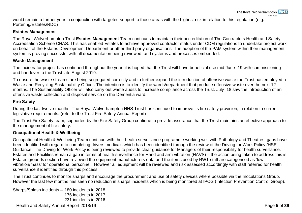would remain a further year in conjunction with targeted support to those areas with the highest risk in relation to this regulation (e.g. Portering/Estates/RDC)

#### **Estates Management**

The Royal Wolverhampton Trust **Estates Management** Team continues to maintain their accreditation of The Contractors Health and Safety Accreditation Scheme CHAS. This has enabled Estates to achieve approved contractor status under CDM regulations to undertake project work on behalf of the Estates Development Department or other third party organisations. The adoption of the PAM system within their management system is proving successful with all documentation being reviewed, and systems and processes embedded.

#### **Waste Management**

The incinerator project has continued throughout the year, it is hoped that the Trust will have beneficial use mid-June `19 with commissioning and handover to the Trust late August 2019.

To ensure the waste streams are being segregated correctly and to further expand the introduction of offensive waste the Trust has employed a Waste and Recycling Sustainability Officer. The intention is to identify the wards/department that produce offensive waste over the next 12 months. The Sustainability Officer will also carry out waste audits to increase compliance across the Trust. July `18 saw the introduction of an offensive waste collection and disposal service on the Dementia ward.

#### **Fire Safety**

During the last twelve months, The Royal Wolverhampton NHS Trust has continued to improve its fire safety provision, in relation to current legislative requirements. (refer to the Trust Fire Safety Annual Report)

The Trust Fire Safety team, supported by the Fire Safety Group continue to provide assurance that the Trust maintains an effective approach to the management of fire safety.

#### **Occupational Health & Wellbeing**

Occupational Health & Wellbeing Team continue with their health surveillance programme working well with Pathology and Theatres, gaps have been identified with regard to completing drivers medicals which has been identified through the review of the Driving for Work Policy /HSE Guidance. The Driving for Work Policy is being reviewed to provide clear guidance for Managers of their responsibility for health surveillance. Estates and Facilities remain a gap in terms of health surveillance for Hand and arm vibration (HAVS) – the action being taken to address this is Estates grounds section have reviewed the equipment manufacturers data and the items used by RWT staff are categorised as 'low vibration/mass' for operational personnel. However all equipment will be reviewed and risk assessed accordingly with staff referred for health surveillance if identified through this process.

The Trust continues to monitor sharps and encourage the procurement and use of safety devices where possible via the Inoculations Group. However the last few months has seen no reduction in sharps incidents which is being monitored at IPCG (Infection Prevention Control Group).

Health and Safety Annual Report 2018/19 Page **5** of **39** Sharps/Splash incidents – 180 incidents in 2018 176 incidents in 2017 231 incidents in 2016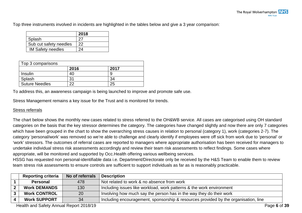Top three instruments involved in incidents are highlighted in the tables below and give a 3 year comparison:

|                          | 2018 |
|--------------------------|------|
| Splash                   |      |
| Sub cut safety needles   | 22   |
| <b>IM Safety needles</b> | 2Δ   |

| Top 3 comparisons     |      |      |  |  |
|-----------------------|------|------|--|--|
|                       | 2016 | 2017 |  |  |
| Insulin               |      |      |  |  |
| Splash                | 31   | 34   |  |  |
| <b>Suture Needles</b> |      |      |  |  |

To address this, an awareness campaign is being launched to improve and promote safe use.

Stress Management remains a key issue for the Trust and is monitored for trends.

#### Stress referrals

The chart below shows the monthly new cases related to stress referred to the OH&WB service. All cases are categorised using OH standard categories on the basis that the key stressor determines the category. The categories have changed slightly and now there are only 7 categories which have been grouped in the chart to show the overarching stress causes in relation to personal (category 1), work (categories 2-7). The category 'personal/work' was removed so we're able to challenge and clearly identify if employees were off sick from work due to 'personal' or 'work' stressors. The outcomes of referral cases are reported to managers where appropriate authorisation has been received for managers to undertake individual stress risk assessments accordingly and review their team risk assessments to reflect findings. Some cases where appropriate, will be monitored and supported by Occ.Health offering various wellbeing services.

HSSG has requested non personal-identifiable data i.e. Department/Directorate only be received by the H&S Team to enable them to review team stress risk assessments to ensure controls are sufficient to support individuals as far as is reasonably practicable.

| <b>Reporting criteria</b> | No of referrals | <b>Description</b>                                                                  |
|---------------------------|-----------------|-------------------------------------------------------------------------------------|
| Personal                  | 478             | Not related to work & no absence from work                                          |
| <b>Work DEMANDS</b>       | 130             | Including issues like workload, work patterns & the work environment                |
| <b>Work CONTROL</b>       | 20              | Involving how much say the person has in the way they do their work                 |
| <b>Work SUPPORT</b>       | 34              | Including encouragement, sponsorship & resources provided by the organisation, line |

Health and Safety Annual Report 2018/19 **Page 6** of 39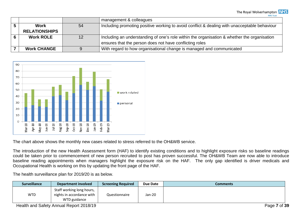The Royal Wolverhampton NHS **NHS Trust** 

|                      |    | management & colleagues                                                                      |  |
|----------------------|----|----------------------------------------------------------------------------------------------|--|
| <b>Work</b>          | 54 | Including promoting positive working to avoid conflict & dealing with unacceptable behaviour |  |
| <b>RELATIONSHIPS</b> |    |                                                                                              |  |
| <b>Work ROLE</b>     | 12 | Including an understanding of one's role within the organisation & whether the organisation  |  |
|                      |    | ensures that the person does not have conflicting roles                                      |  |
| <b>Work CHANGE</b>   |    | With regard to how organisational change is managed and communicated                         |  |



The chart above shows the monthly new cases related to stress referred to the OH&WB service.

The introduction of the new Health Assessment form (HAF) to identify existing conditions and to highlight exposure risks so baseline readings could be taken prior to commencement of new person recruited to post has proven successful. The OH&WB Team are now able to introduce baseline reading appointments when managers highlight the exposure risk on the HAF. The only gap identified is driver medicals and Occupational Health is working on this by updating the front page of the HAF.

The health surveillance plan for 2019/20 is as below.

| <b>Surveillance</b> | <b>Department involved</b>                                             | <b>Screening Required</b> | Due Date | Comments |
|---------------------|------------------------------------------------------------------------|---------------------------|----------|----------|
| <b>WTD</b>          | Staff working long hours,<br>nights in accordance with<br>WTD guidance | Questionnaire             | $Jan-20$ |          |

Health and Safety Annual Report 2018/19 **Page 7** of **39** Page 7 of **39**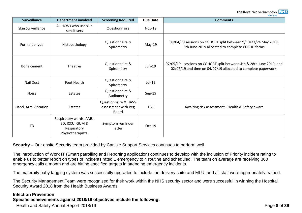#### The Royal Wolverhampton **NHS NHS Trust**

| <b>Surveillance</b> | <b>Department involved</b>                                                     | <b>Screening Required</b>                                              | <b>Due Date</b> | <b>Comments</b>                                                                                                                         |
|---------------------|--------------------------------------------------------------------------------|------------------------------------------------------------------------|-----------------|-----------------------------------------------------------------------------------------------------------------------------------------|
| Skin Surveillance   | All HCWs who use skin<br>sensitisers                                           | Questionnaire                                                          | <b>Nov-19</b>   |                                                                                                                                         |
| Formaldehyde        | Histopathology                                                                 | Questionnaire &<br>Spirometry                                          | May-19          | 09/04/19 sessions on COHORT split between 9/10/23/24 May 2019,<br>6th June 2019 allocated to complete COSHH forms.                      |
| Bone cement         | <b>Theatres</b>                                                                | Questionnaire &<br>Spirometry                                          | $Jun-19$        | 07/05/19 - sessions on COHORT split between 4th & 28th June 2019, and<br>02/07/19 and time on 04/07/19 allocated to complete paperwork. |
| <b>Nail Dust</b>    | Foot Health                                                                    | Questionnaire &<br>Spirometry                                          | Jul-19          |                                                                                                                                         |
| <b>Noise</b>        | Estates                                                                        | Questionnaire &<br>Audiometry                                          | $Sep-19$        |                                                                                                                                         |
| Hand, Arm Vibration | Estates                                                                        | <b>Questionnaire &amp; HAVS</b><br>assessment with Peg<br><b>Board</b> | <b>TBC</b>      | Awaiting risk assessment - Health & Safety aware                                                                                        |
| TB                  | Respiratory wards, AMU,<br>ED, ICCU, GUM &<br>Respiratory<br>Physiotherapists. | Symptom reminder<br>letter                                             | Oct-19          |                                                                                                                                         |

**Security** – Our onsite Security team provided by Carlisle Support Services continues to perform well.

The introduction of Work IT (Smart patrolling and Reporting application) continues to develop with the inclusion of Priority incident rating to enable us to better report on types of incidents rated 1 emergency to 4 routine and scheduled. The team on average are receiving 300 emergency calls a month and are hitting specified targets in attending emergency incidents.

The maternity baby tagging system was successfully upgraded to include the delivery suite and MLU, and all staff were appropriately trained.

The Security Management Team were recognised for their work within the NHS security sector and were successful in winning the Hospital Security Award 2018 from the Health Business Awards.

#### **Infection Prevention**

#### **Specific achievements against 2018/19 objectives include the following:**

Health and Safety Annual Report 2018/19 Page **8** of **39**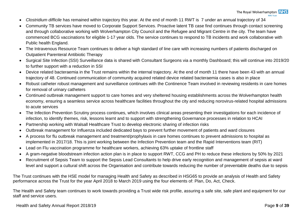- *Clostridium difficile* has remained within trajectory this year. At the end of month 11 RWT is 7 under an annual trajectory of 34
- Community TB services have moved to Corporate Support Services. Proactive latent TB case find continues through contact screening and through collaborative working with Wolverhampton City Council and the Refugee and Migrant Centre in the city. The team have commenced BCG vaccinations for eligible 1-17 year olds. The service continues to respond to TB incidents and work collaborative with Public health England.
- The Intravenous Resource Team continues to deliver a high standard of line care with increasing numbers of patients discharged on Outpatient Parenteral Antibiotic Therapy
- Surgical Site Infection (SSI) Surveillance data is shared with Consultant Surgeons via a monthly Dashboard; this will continue into 2019/20 to further support with a reduction in SSI
- Device related bacteraemia in the Trust remains within the internal trajectory. At the end of month 11 there have been 43 with an annual trajectory of 48. Continued communication of community acquired related device related bacteraemia cases is also in place
- Robust catheter robust management and surveillance continues with the Continence Team involved in reviewing residents in care homes for removal of urinary catheters
- Continued outbreak management support to care homes and very sheltered housing establishments across the Wolverhampton health economy, ensuring a seamless service across healthcare facilities throughout the city and reducing norovirus-related hospital admissions to acute services
- The Infection Prevention Scrutiny process continues, which involves clinical areas presenting their investigations for each incidence of infection, to identify themes, risk, lessons learnt and to support with strengthening Governance processes in relation to HCAI
- Partnership working with Walsall Healthcare Trust to develop electronic sharing of infection risks
- Outbreak management for Influenza included dedicated bays to prevent further movement of patients and ward closures
- A process for flu outbreak management and treatment/prophylaxis in care homes continues to prevent admissions to hospital as implemented in 2017/18. This is joint working between the Infection Prevention team and the Rapid Interventions team (RIT)
- Lead on Flu vaccination programme for healthcare workers, achieving 63% uptake of frontline staff
- A gram-negative bloodstream infection action plan is in place to support RWT, CCG and PH to reduce these infections by 50% by 2021
- Recruitment of Sepsis Team to support the Sepsis Lead Consultants to help drive early recognition and management of sepsis at ward level and support a cultural shift across the Organisation and contribute towards reducing the number of preventable deaths due to sepsis

The Trust continues with the HSE model for managing Health and Safety as described in HSG65 to provide an analysis of Health and Safety performance across the Trust for the year April 2018 to March 2019 using the four elements of: Plan, Do, Act, Check.

The Health and Safety team continues to work towards providing a Trust wide risk profile, assuring a safe site, safe plant and equipment for our staff and service users.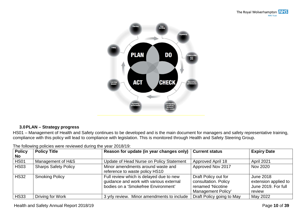

#### <span id="page-12-0"></span>**3.0PLAN – Strategy progress**

HS01 – Management of Health and Safety continues to be developed and is the main document for managers and safety representative training, compliance with this policy will lead to compliance with legislation. This is monitored through Health and Safety Steering Group.

| <b>Policy</b> | <b>Policy Title</b>         | Reason for update (in year changes only)                                                                                  | <b>Current status</b>                                                                   | <b>Expiry Date</b>                                                        |
|---------------|-----------------------------|---------------------------------------------------------------------------------------------------------------------------|-----------------------------------------------------------------------------------------|---------------------------------------------------------------------------|
| No            |                             |                                                                                                                           |                                                                                         |                                                                           |
| <b>HS01</b>   | Management of H&S           | Update of Head Nurse on Policy Statement                                                                                  | Approved April 18                                                                       | April 2021                                                                |
| <b>HS03</b>   | <b>Sharps Safety Policy</b> | Minor amendments around waste and<br>reference to waste policy HS10                                                       | Approved Nov 2017                                                                       | Nov 2020                                                                  |
| <b>HS32</b>   | <b>Smoking Policy</b>       | Full review which is delayed due to new<br>guidance and work with various external<br>bodies on a 'Smokefree Environment' | Draft Policy out for<br>consultation. Policy<br>renamed 'Nicotine<br>Management Policy' | <b>June 2018</b><br>extension applied to<br>June 2019. For full<br>review |
| <b>HS33</b>   | Driving for Work            | 3 yrly review. Minor amendments to include                                                                                | Draft Policy going to May                                                               | May 2022                                                                  |

The following policies were reviewed during the year 2018/19: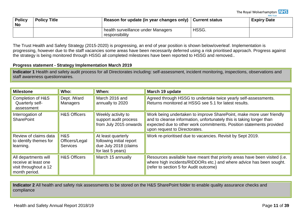The Royal Wolverhampton **NHS NHS Trust** 

| <b>Policy</b><br><b>No</b> | <b>Policy Title</b> | Reason for update (in year changes only)   Current status |       | <b>Expiry Date</b> |
|----------------------------|---------------------|-----------------------------------------------------------|-------|--------------------|
|                            |                     | health surveillance under Managers<br>responsibility      | HSSG. |                    |

The Trust Health and Safety Strategy (2015-2020) is progressing, an end of year position is shown below/overleaf. Implementation is progressing, however due to the staff vacancies some areas have been necessarily deferred using a risk prioritised approach. Progress against the strategy is being monitored through HSSG all completed milestones have been reported to HSSG and removed..

#### <span id="page-13-0"></span>**Progress statement - Strategy Implementation March 2019**

**Indicator 1** Health and safety audit process for all Directorates including: self-assessment, incident monitoring, inspections, observations and staff awareness questionnaires.

| <b>Milestone</b>                                                                       | Who:                                     | When:                                                                                        | March 19 update                                                                                                                                                                                                                                       |
|----------------------------------------------------------------------------------------|------------------------------------------|----------------------------------------------------------------------------------------------|-------------------------------------------------------------------------------------------------------------------------------------------------------------------------------------------------------------------------------------------------------|
| <b>Completion of H&amp;S</b><br>Quarterly self-<br>assessment                          | Dept. /Ward<br><b>Managers</b>           | March 2016 and<br>annually to 2020                                                           | Agreed through HSSG to undertake twice yearly self-assessments.<br>Returns monitored at HSSG see 5.1 for latest results.                                                                                                                              |
| Interrogation of<br><b>SharePoint</b>                                                  | <b>H&amp;S Officers</b>                  | Weekly activity to<br>support audit process<br>from July 2015 onwards                        | Work being undertaken to improve SharePoint, make more user friendly<br>and to cleanse information, unfortunately this is taking longer than<br>expected due to other work commitments. Position statements provided<br>upon request to Directorates. |
| Review of claims data<br>to identify themes for<br>learning.                           | H&S<br>Officers/Legal<br><b>Services</b> | At least quarterly<br>following initial report<br>due July 2018 (claims<br>for last 5 years) | Work re-prioritised due to vacancies. Revisit by Sept 2019.                                                                                                                                                                                           |
| All departments will<br>receive at least one<br>visit throughout a 12<br>month period. | <b>H&amp;S Officers</b>                  | March 15 annually                                                                            | Resources available have meant that priority areas have been visited (i.e.<br>where high incidents/RIDDORs etc.) and where advice has been sought.<br>(refer to section 5 for Audit outcome)                                                          |

**Indicator 2** All health and safety risk assessments to be stored on the H&S SharePoint folder to enable quality assurance checks and compliance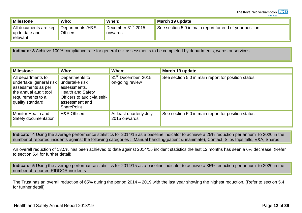The Royal Wolverhampton NHS **NHS Trust** 

| <b>Milestone</b>                                                      | Who:            | When:                                  | March 19 update                                          |
|-----------------------------------------------------------------------|-----------------|----------------------------------------|----------------------------------------------------------|
| All documents are kept Departments /H&S<br>up to date and<br>relevant | <b>Officers</b> | December $31^{\rm st}$ 2015<br>onwards | See section 5.0 in main report for end of year position. |

**Indicator 3** Achieve 100% compliance rate for general risk assessments to be completed by departments, wards or services

| <b>Milestone</b>                                                                                                                     | Who:                                                                                                                                               | When:                                             | March 19 update                                     |
|--------------------------------------------------------------------------------------------------------------------------------------|----------------------------------------------------------------------------------------------------------------------------------------------------|---------------------------------------------------|-----------------------------------------------------|
| All departments to<br>undertake general risk<br>assessments as per<br>the annual audit tool<br>requirements to a<br>quality standard | Departments to<br>undertake risk<br>assessments.<br><b>Health and Safety</b><br>Officers to audit via self-<br>assessment and<br><b>SharePoint</b> | 31 <sup>st</sup> December 2015<br>on-going review | See section 5.0 in main report for position status. |
| Monitor Health and<br>Safety documentation                                                                                           | <b>H&amp;S Officers</b>                                                                                                                            | At least quarterly July<br>2015 onwards           | See section 5.0 in main report for position status. |

**Indicator 4** Using the average performance statistics for 2014/15 as a baseline indicator to achieve a 25% reduction per annum to 2020 in the number of reported incidents against the following categories : Manual handling(patient & inanimate), Contact, Slips trips falls, V&A, Sharps

An overall reduction of 13.5% has been achieved to date against 2014/15 incident statistics the last 12 months has seen a 6% decrease. (Refer to section 5.4 for further detail)

**Indicator 5** Using the average performance statistics for 2014/15 as a baseline indicator to achieve a 35% reduction per annum to 2020 in the number of reported RIDDOR incidents

The Trust has an overall reduction of 65% during the period 2014 – 2019 with the last year showing the highest reduction. (Refer to section 5.4 for further detail)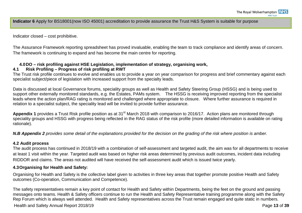**Indicator 6** Apply for BS18001(now ISO 45001) accreditation to provide assurance the Trust H&S System is suitable for purpose

Indicator closed – cost prohibitive.

The Assurance Framework reporting spreadsheet has proved invaluable, enabling the team to track compliance and identify areas of concern. The framework is continuing to expand and has become the main centre for reporting.

#### <span id="page-15-1"></span><span id="page-15-0"></span>**4.0DO – risk profiling against HSE Legislation, implementation of strategy, organising work,**

### **4.1 Risk Profiling – Progress of risk profiling at RWT**

The Trust risk profile continues to evolve and enables us to provide a year on year comparison for progress and brief commentary against each specialist subject/piece of legislation with increased support from the specialty leads.

Data is discussed at local Governance forums, speciality groups as well as Health and Safety Steering Group (HSSG) and is being used to support other externally monitored standards, e.g. the Estates, PAMs system. The HSSG is receiving improved reporting from the specialist leads where the action plan/RAG rating is monitored and challenged where appropriate to closure. Where further assurance is required in relation to a specialist subject, the speciality lead will be invited to provide further assurance.

Appendix 1 provides a Trust Risk profile position as at 31<sup>st</sup> March 2018 with comparison to 2016/17. Action plans are monitored through speciality groups and HSSG with progress being reflected in the RAG status of the risk profile (more detailed information is available on rating rationale).

*N.B Appendix 2 provides some detail of the explanations provided for the decision on the grading of the risk where position is amber.*

#### **4.2 Audit process**

The audit process has continued in 2018/19 with a combination of self-assessment and targeted audit, the aim was for all departments to receive at least 1 visit within the year. Targeted audit was based on higher risk areas determined by previous audit outcomes, incident data including RIDDOR and claims. The areas not audited will have received the self-assessment audit which is issued twice yearly.

#### <span id="page-15-2"></span>**4.3Organising for Health and Safety:**

Organising for Health and Safety is the collective label given to activities in three key areas that together promote positive Health and Safety outcomes (Co-operation, Communication and Competence).

Health and Safety Annual Report 2018/19 **Page 13** of **39** Page 13 of **39** The safety representatives remain a key point of contact for Health and Safety within Departments, being the feet on the ground and passing messages onto teams. Health & Safety officers continue to run the Health and Safety Representative training programme along with the Safety Rep Forum which is always well attended. Health and Safety representatives across the Trust remain engaged and quite static in numbers.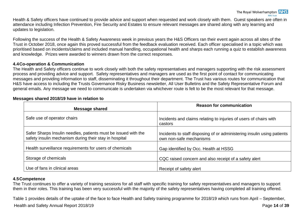Health & Safety officers have continued to provide advice and support when requested and work closely with them. Guest speakers are often in attendance including Infection Prevention, Fire Security and Estates to ensure relevant messages are shared along with any learning and updates to legislation.

Following the success of the Health & Safety Awareness week in previous years the H&S Officers ran their event again across all sites of the Trust in October 2018, once again this proved successful from the feedback evaluation received. Each officer specialised in a topic which was prioritised based on incidents/claims and included manual handling, occupational health and sharps each running a quiz to establish awareness and knowledge. Prizes were awarded to winners drawn from the correct responses.

#### <span id="page-16-0"></span>**4.4Co-operation & Communication**

The Health and Safety officers continue to work closely with both the safety representatives and managers supporting with the risk assessment process and providing advice and support. Safety representatives and managers are used as the first point of contact for communicating messages and providing information to staff, disseminating it throughout their department. The Trust has various routes for communication that H&S have access to including the Trusts Governance Risky Business newsletter, All User Bulletins and the Safety Representative Forum and general emails. Any message we need to communicate is undertaken via whichever route is felt to be the most relevant for that message.

| <b>Message shared</b>                                                                                                    | <b>Reason for communication</b>                                                                    |
|--------------------------------------------------------------------------------------------------------------------------|----------------------------------------------------------------------------------------------------|
| Safe use of operator chairs                                                                                              | Incidents and claims relating to injuries of users of chairs with<br>castors                       |
| Safer Sharps Insulin needles, patients must be issued with the<br>safety insulin mechanism during their stay in hospital | Incidents to staff disposing of or administering insulin using patients<br>own non-safe mechanisms |
| Health surveillance requirements for users of chemicals                                                                  | Gap identified by Occ. Health at HSSG                                                              |
| Storage of chemicals                                                                                                     | CQC raised concern and also receipt of a safety alert                                              |
| Use of fans in clinical areas                                                                                            | Receipt of safety alert                                                                            |

#### **Messages shared 2018/19 have in relation to**

#### <span id="page-16-1"></span>**4.5Competence**

The Trust continues to offer a variety of training sessions for all staff with specific training for safety representatives and managers to support them in their roles. This training has been very successful with the majority of the safety representatives having completed all training offered.

Health and Safety Annual Report 2018/19 **Page 14** of **39** Page 14 of **39** Table 1 provides details of the uptake of the face to face Health and Safety training programme for 2018/19 which runs from April – September,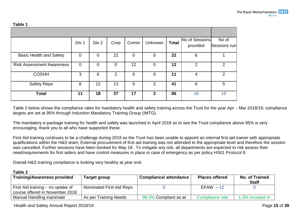**Table 1**

| TANIE T                          |                |                |             |                |         |              |                            |                       |
|----------------------------------|----------------|----------------|-------------|----------------|---------|--------------|----------------------------|-----------------------|
|                                  |                |                |             |                |         |              |                            |                       |
|                                  | Div 1          | Div 2          | Corp        | Comm           | Unknown | <b>Total</b> | No of Sessions<br>provided | No of<br>Sessions run |
| <b>Basic Health and Safety</b>   | $\overline{0}$ | $\overline{0}$ | 22          | $\overline{0}$ | 0       | 22           | 6                          |                       |
| <b>Risk Assessment Awareness</b> | $\overline{0}$ | $\overline{0}$ | $\mathbf 0$ | 12             | 0       | 12           | 2                          | 2                     |
| <b>COSHH</b>                     | 3              | 6              | 2           | $\overline{0}$ | 0       | 11           | 4                          | 2                     |
| <b>Safety Reps</b>               | 8              | 12             | 13          | 5              | 3       | 41           | 6                          | 5                     |
| <b>Total</b>                     | 11             | 18             | 37          | 17             | 3       | 86           | 18                         | 10                    |

Table 2 below shows the compliance rates for mandatory health and safety training across the Trust for the year Apr – Mar 2018/19, compliance targets are set at 95% through Induction Mandatory Training Group (IMTG).

The mandatory e-package training for health and safety was launched in April 2018 so to see the Trust compliance above 95% is very encouraging, thank you to all who have supported these.

First Aid training continues to be a challenge during 2018 as the Trust has been unable to appoint an internal first aid trainer with appropriate qualifications within the H&S team, External procurement of first aid training was not attended to the appropriate level and therefore the session was cancelled. Further sessions have been booked for May 19. To mitigate any risk, all departments are expected to risk assess their need/requirements for first aiders and have control measures in place in case of emergency as per policy HS01 Protocol 9.

Overall H&S training compliance is looking very healthy at year end.

| Table 2                             |                          |                              |                       |                                       |
|-------------------------------------|--------------------------|------------------------------|-----------------------|---------------------------------------|
| <b>Training/Awareness provided</b>  | Target group             | <b>Compliance/attendance</b> | <b>Places offered</b> | <b>No. of Trained</b><br><b>Staff</b> |
| First Aid training $-$ no uptake of | Nominated First Aid Reps |                              | $EFAW - 12$           |                                       |
| course offered in November 2018     |                          |                              |                       |                                       |
| Manual Handling inanimate           | As per Training Needs    | 98.3% Compliant as at        | Compliance rate       | 1.3% increase in                      |

Health and Safety Annual Report 2018/19 **Page 15** of **39**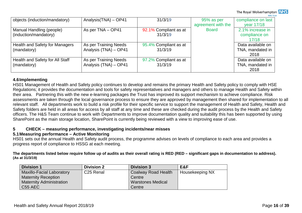|                                       |                       |                       |                    | <b>IVITS HUST</b>  |
|---------------------------------------|-----------------------|-----------------------|--------------------|--------------------|
| objects (induction/mandatory)         | Analysis(TNA) - OP41  | 31/3/19               | 95% as per         | compliance on last |
|                                       |                       |                       | agreement with the | year 17/18         |
| Manual Handling (people)              | As per TNA - OP41     | 92.1% Compliant as at | <b>Board</b>       | 2.1% increase in   |
| (induction/mandatory)                 |                       | 31/3/19               |                    | compliance on      |
|                                       |                       |                       |                    | 17/18              |
| <b>Health and Safety for Managers</b> | As per Training Needs | 95.4% Compliant as at |                    | Data available on  |
| (mandatory)                           | Analysis (TNA) - OP41 | 31/3/19               |                    | TNA, mandated in   |
|                                       |                       |                       |                    | 2018               |
| Health and Safety for All Staff       | As per Training Needs | 97.2% Compliant as at |                    | Data available on  |
| (mandatory)                           | Analysis (TNA) - OP41 | 31/3/19               |                    | TNA, mandated in   |
|                                       |                       |                       |                    | 2018               |

#### <span id="page-18-0"></span>**4.6Implementing**

HS01 Management of Health and Safety policy continues to develop and remains the primary Health and Safety policy to comply with HSE Regulations; it provides the documentation and tools for safety representatives and managers and others to manage Health and Safety within their area. Partnering this with the new e-learning packages the Trust has improved its support mechanism to achieve compliance. Risk assessments are taken through the local governance process to ensure they are approved by management then shared for implementation to all relevant staff. All departments work to build a risk profile for their specific service to support the management of Health and Safety, Health and Safety folders are held in all areas for access by all staff at any time and these are checked during the audit process by the Health and Safety officers. The H&S Team continue to work with Departments to improve documentation quality and suitability this has been supported by using SharePoint as the main storage location, SharePoint is currently being reviewed with a view to improving ease of use.

#### <span id="page-18-1"></span>**5 CHECK – measuring performance, investigating incidents/near misses**

### <span id="page-18-2"></span>**5.1Measuring performance – Active Monitoring**

HS01 sets out the annual Health and Safety audit process, the programme advises on levels of compliance to each area and provides a progress report of compliance to HSSG at each meeting.

**The departments listed below require follow up of audits as their overall rating is RED (RED – significant gaps in documentation to address). (As at 31/3/19)**

| <b>Division 1</b>                | <b>Division 2</b>     | <b>Division 3</b>        | E&F             |
|----------------------------------|-----------------------|--------------------------|-----------------|
| <b>Maxillo-Facial Laboratory</b> | C <sub>25</sub> Renal | Coalway Road Health      | Housekeeping NX |
| <b>Maternity Reception</b>       |                       | Centre                   |                 |
| <b>Maternity Administration</b>  |                       | <b>Warstones Medical</b> |                 |
| C55 AEC                          |                       | Centre                   |                 |

The Royal Wolverhampton **NHS**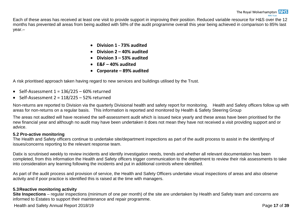Each of these areas has received at least one visit to provide support in improving their position. Reduced variable resource for H&S over the 12 months has prevented all areas from being audited with 58% of the audit programme overall this year being achieved in comparison to 85% last year.–

- **Division 1 - 73% audited**
- **Division 2 – 40% audited**
- **Division 3 – 53% audited**
- **E&F – 40% audited**
- **Corporate – 89% audited**

A risk prioritised approach taken having regard to new services and buildings utilised by the Trust.

- Self-Assessment  $1 = 136/225 60%$  returned
- Self-Assessment 2 = 118/225 52% returned

Non-returns are reported to Division via the quarterly Divisional health and safety report for monitoring. Health and Safety officers follow up with areas for non-returns on a regular basis. This information is reported and monitored by Health & Safety Steering Group

The areas not audited will have received the self-assessment audit which is issued twice yearly and these areas have been prioritised for the new financial year and although no audit may have been undertaken it does not mean they have not received a visit providing support and or advice.

#### <span id="page-19-0"></span>**5.2 Pro-active monitoring**

The Health and Safety officers continue to undertake site/department inspections as part of the audit process to assist in the identifying of issues/concerns reporting to the relevant response team.

Datix is scrutinised weekly to review incidents and identify investigation needs, trends and whether all relevant documentation has been completed, from this information the Health and Safety officers trigger communication to the department to review their risk assessments to take into consideration any learning following the incidents and put in additional controls where identified.

As part of the audit process and provision of service, the Health and Safety Officers undertake visual inspections of areas and also observe activity and if poor practice is identified this is raised at the time with managers.

#### <span id="page-19-1"></span>**5.3Reactive monitoring activity**

**Site Inspections** – regular inspections (minimum of one per month) of the site are undertaken by Health and Safety team and concerns are informed to Estates to support their maintenance and repair programme.

Health and Safety Annual Report 2018/19 **Page 17** of **39** Page 17 of **39**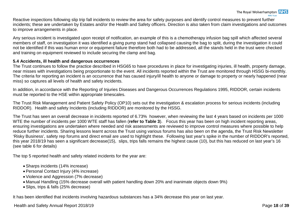# The Royal Wolverhampton **NHS**

Reactive inspections following slip trip fall incidents to review the area for safety purposes and identify control measures to prevent further incidents; these are undertaken by Estates and/or the Health and Safety officers. Direction is also taken from claim investigations and outcomes to improve arrangements in place.

Any serious incident is investigated upon receipt of notification, an example of this is a chemotherapy infusion bag spill which affected several members of staff, on investigation it was identified a giving pump stand had collapsed causing the bag to split, during the investigation it could not be identified if this was human error or equipment failure therefore both had to be addressed, all the stands held in the trust were checked and training on equipment reviewed to include securing the clamp and bag.

#### <span id="page-20-0"></span>**5.4 Accidents, ill health and dangerous occurrences**

The Trust continues to follow the practice described in HSG65 to have procedures in place for investigating injuries, ill health, property damage, near misses with investigations being proportionate to the event. All incidents reported within the Trust are monitored through HSSG bi-monthly. The criteria for reporting an incident is an occurrence that has caused injury/ill health to anyone or damage to property or nearly happened (near miss) so captures all levels of health and safety incidents.

In addition, in accordance with the Reporting of Injuries Diseases and Dangerous Occurrences Regulations 1995, RIDDOR, certain incidents must be reported to the HSE within appropriate timescales.

The Trust Risk Management and Patient Safety Policy (OP10) sets out the investigation & escalation process for serious incidents (including RIDDOR). Health and safety Incidents (including RIDDOR) are monitored by the HSSG.

The Trust has seen an overall decrease in incidents reported of 6.73% however, when reviewing the last 4 years based on incidents per 1000 WTE the number of incidents per 1000 WTE staff has fallen (**refer to Table 3**). Focus this year has been on high incident reporting areas, ensuring investigations are undertaken where needed and risk assessments are reviewed to improve control measures where possible to help reduce further incidents. Sharing lessons learnt across the Trust using various forums has also been on the agenda, the Trust Risk Newsletter 'Risky Business', safety rep forums and direct email are used to highlight these. Following last year's spike in the number of RIDDOR's reported, this year 2018/19 has seen a significant decrease(15), slips, trips falls remains the highest cause (10), but this has reduced on last year's 16 (see table 6 for details)

The top 5 reported health and safety related incidents for the year are:

- Sharps incidents (14% increase)
- Personal Contact Injury (4% increase)
- Violence and Aggression (7% decrease)
- Manual Handling (15% decrease overall with patient handling down 20% and inanimate objects down 9%)
- Slips, trips & falls (25% decrease)

It has been identified that incidents involving hazardous substances has a 34% decrease this year on last year.

Health and Safety Annual Report 2018/19 **Page 18** of **39** Page 18 of **39**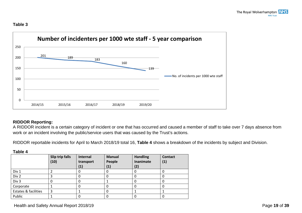#### **Table 3**



### <span id="page-21-0"></span>**RIDDOR Reporting:**

A RIDDOR incident is a certain category of incident or one that has occurred and caused a member of staff to take over 7 days absence from work or an incident involving the public/service users that was caused by the Trust's actions.

RIDDOR reportable incidents for April to March 2018/19 total 16, **Table 4** shows a breakdown of the incidents by subject and Division.

|--|--|

|                      | Slip trip falls<br>(10) | Internal<br>transport<br>$\left( 1\right)$ | <b>Manual</b><br>People<br>$\mathbf{(1)}$ | <b>Handling</b><br><b>Inanimate</b><br>(2) | <b>Contact</b><br>(1) |
|----------------------|-------------------------|--------------------------------------------|-------------------------------------------|--------------------------------------------|-----------------------|
| Div 1                |                         |                                            |                                           |                                            |                       |
| Div 2                |                         |                                            |                                           |                                            |                       |
| Div 3                |                         | U                                          |                                           |                                            |                       |
| Corporate            |                         |                                            | υ                                         | 0                                          |                       |
| Estates & facilities | っ                       |                                            | υ                                         |                                            |                       |
| Public               |                         | U                                          |                                           |                                            |                       |

### Health and Safety Annual Report 2018/19 **Page 19** of **39**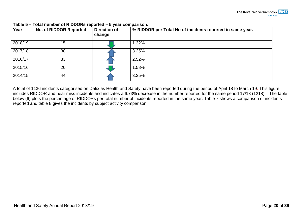| Year    | No. of RIDDOR Reported | <b>Direction of</b><br>change | % RIDDOR per Total No of incidents reported in same year. |
|---------|------------------------|-------------------------------|-----------------------------------------------------------|
| 2018/19 | 15                     |                               | 1.32%                                                     |
| 2017/18 | 38                     |                               | 3.25%                                                     |
| 2016/17 | 33                     |                               | 2.52%                                                     |
| 2015/16 | 20                     |                               | 1.58%                                                     |
| 2014/15 | 44                     |                               | 3.35%                                                     |

#### **Table 5 – Total number of RIDDORs reported – 5 year comparison.**

A total of 1136 incidents categorised on Datix as Health and Safety have been reported during the period of April 18 to March 19. This figure includes RIDDOR and near miss incidents and indicates a 6.73% decrease in the number reported for the same period 17/18 (1218). The table below (6) plots the percentage of RIDDORs per total number of incidents reported in the same year. Table 7 shows a comparison of incidents reported and table 8 gives the incidents by subject activity comparison.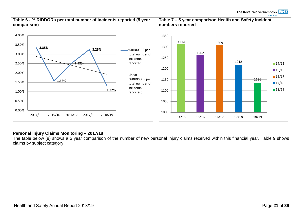

#### <span id="page-23-0"></span>**Personal Injury Claims Monitoring – 2017/18**

The table below (8) shows a 5 year comparison of the number of new personal injury claims received within this financial year. Table 9 shows claims by subject category: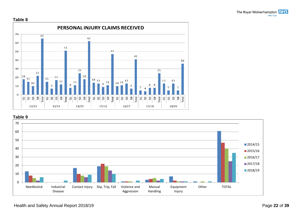





Health and Safety Annual Report 2018/19 **Page 22 of 39** Page 22 of 39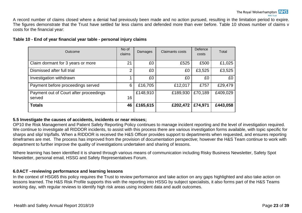A record number of claims closed where a denial had previously been made and no action pursued, resulting in the limitation period to expire. The figures demonstrate that the Trust have settled far less claims and defended more than ever before. Table 10 shows number of claims v costs for the financial year:

#### **Table 10 - End of year financial year table - personal injury claims**

| Outcome                                          | No of<br>claims | Damages  | Claimants costs | Defence<br>costs | Total    |
|--------------------------------------------------|-----------------|----------|-----------------|------------------|----------|
| Claim dormant for 3 years or more                | 21              | £0       | £525            | £500             | £1,025   |
| Dismissed after full trial                       | 2               | £0       | £0              | £3,525           | £3,525   |
| Investigation withdrawn                          |                 | £0       | £0              | £0               | £0       |
| Payment before proceedings served                | 6               | £16,705  | £12,017         | £757             | £29,479  |
| Payment out of Court after proceedings<br>served | 16              | £148,910 | £189,930        | £70,189          | £409,029 |
| <b>Totals</b>                                    | 46              | £165,615 | £202,472        | £74,971          | £443,058 |

#### <span id="page-25-0"></span>**5.5 Investigate the causes of accidents, incidents or near misses;**

OP10 the Risk Management and Patient Safety Reporting Policy continues to manage incident reporting and the level of investigation required. We continue to investigate all RIDDOR incidents, to assist with this process there are various investigation forms available, with topic specific for sharps and slip/ trip/falls. When a RIDDOR is received the H&S Officer provides support to departments when requested, and ensures reporting timeframes are met. The process has improved from the provision of documentation perspective; however the H&S Team continue to work with department to further improve the quality of investigations undertaken and sharing of lessons.

Where learning has been identified it is shared through various means of communication including Risky Business Newsletter, Safety Spot Newsletter, personal email, HSSG and Safety Representatives Forum.

#### <span id="page-25-1"></span>**6.0ACT –reviewing performance and learning lessons**

In the context of HSG65 this policy requires the Trust to review performance and take action on any gaps highlighted and also take action on lessons learned. The H&S Risk Profile supports this with the reporting into HSSG by subject specialists, it also forms part of the H&S Teams working day, with regular reviews to identify high risk areas using incident data and audit outcomes.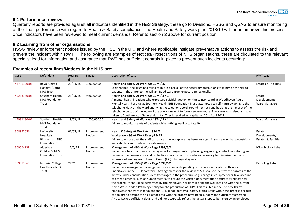#### <span id="page-26-0"></span>**6.1 Performance review:**

Quarterly reports are provided against all indicators identified in the H&S Strategy, these go to Divisions, HSSG and QSAG to ensure monitoring of the Trust performance with regard to Health & Safety compliance. The Health and Safety work plan 2018/19 will further improve this process once indicators have been reviewed to meet current demands. Refer to section 2 above for current position.

#### <span id="page-26-1"></span>**6.2 Learning from other organisations**

HSSG review enforcement notices issued by the HSE in the UK, and where applicable instigate preventative actions to assess the risk and prevent the incident within RWT. The following are examples of Notices/Prosecutions of NHS organisations, these are circulated to the relevant specialist lead for information and assurance that RWT has sufficient controls in place to prevent such incidents occurring:

#### **Examples of recent fines/Notices in the NHS are:**

| Case        | Defendant                                                          | <b>Hearing</b><br>date | Fine £                | Description of case                                                                                                                                                                                                                                                                                                                                                                                                                                                                                                                                                                                                                                                                                                                                                                                                                                                                                                                                                                                                                     | <b>RWT Lead</b>                                             |
|-------------|--------------------------------------------------------------------|------------------------|-----------------------|-----------------------------------------------------------------------------------------------------------------------------------------------------------------------------------------------------------------------------------------------------------------------------------------------------------------------------------------------------------------------------------------------------------------------------------------------------------------------------------------------------------------------------------------------------------------------------------------------------------------------------------------------------------------------------------------------------------------------------------------------------------------------------------------------------------------------------------------------------------------------------------------------------------------------------------------------------------------------------------------------------------------------------------------|-------------------------------------------------------------|
| 44796120/01 | <b>Royal United</b><br>Hospital (Bath)<br><b>NHS Trust</b>         | 20/04/18               | 300,000.00            | Health and Safety At Work Act 1974 / 3/<br>Legionnaires - the Trust had failed to put in place all of the necessary precautions to minimise the risk to<br>patients in the annex to the William Budd ward from exposure to legionella.                                                                                                                                                                                                                                                                                                                                                                                                                                                                                                                                                                                                                                                                                                                                                                                                  | <b>Estates &amp; Facilities</b>                             |
| 45263750/01 | Southern Health<br><b>NHS Foundation</b><br>Trust                  | 26/03/18               | 950,000.00            | Health and Safety At Work Act 1974 / 3 / 1<br>A mental health inpatient who expressed suicidal ideation on the Winsor Ward at Woodhaven Adult<br>Mental Health hospital at Southern Health NHS Foundation Trust, attempted to self-harm by going to the<br>telephone kiosk on the ward and tying the telephone cord around her neck and hooking the handset of the<br>telephone on top of the ledge of the telephone unit to form a secure noose. The alarm was raised and was<br>taken to Southampton General Hospital. They later died in hospital on 25th April 2012                                                                                                                                                                                                                                                                                                                                                                                                                                                                 | Estate<br>Developments<br><b>Ward Managers</b>              |
| 44981180/01 | Southern Health<br><b>NHS Foundation</b><br>Trust                  | 19/03/18               | 1,050,000.00          | Health and Safety At Work Act 1974 / 3 / 1<br>failure to monitor safety of patients while bathing leading to fatality.                                                                                                                                                                                                                                                                                                                                                                                                                                                                                                                                                                                                                                                                                                                                                                                                                                                                                                                  | <b>Ward Managers</b>                                        |
| 308952056   | University<br>Hospitals<br><b>Birmingham NHS</b><br>Foundation Tru | 01/05/18               | Improvement<br>Notice | Health & Safety At Work Act 1974 /2<br>Workplace H&S At Work Regs /4 & 17<br>failure to ensure that the staff car park at the workplace has been arranged in such a way that pedestrians<br>and vehicles can circulate in a safe manner                                                                                                                                                                                                                                                                                                                                                                                                                                                                                                                                                                                                                                                                                                                                                                                                 | Estates<br>Developments/<br><b>Estates &amp; Facilities</b> |
| 309064938   | Alderhav<br>Children's NHS<br><b>Foundation Trust</b>              | 12/6/18                | Improvement<br>Notice | Management of H&S at Work Regs 1999/5/1<br>Inadequate health and safety management arrangements of planning, organising, control, monitoring and<br>review of the preventative and protective measures and procedures necessary to minimise the risk of<br>exposure of employees to Hazard Group (HG) 3 biological agents.                                                                                                                                                                                                                                                                                                                                                                                                                                                                                                                                                                                                                                                                                                              | Microbiology Labs                                           |
| 309082863   | <b>Imperial College</b><br><b>Healthcare NHS</b><br>Trust          | 2/7/18                 | Improvement<br>Notice | Management of H&S @ Work Regs 1999/5/1<br>Inadequate management arrangements for standard operating procedures associated with work<br>undertaken in the CL3 laboratory. . Arrangements for the review of SOPs fails to identify the hazards of the<br>activity under consideration, identify changes in the procedure (e.g. change in equipment) or take account<br>of other elements, such as human factors, to ensure the written documentation accurately reflects how<br>the procedure should be performed by the employee, nor does it bring the SOP into line with the current<br>North West London Pathology policy for the production of SOPs. This resulted in the use of SOPs by<br>employees that were inadequate and: 1. Did not identify all safety critical steps within the process because<br>of a failure to ensure the risks associated with the process have been suitably and sufficiently assessed;<br>AND 2. Lacked sufficient detail and did not accurately reflect the actual steps to be taken by an employee | Pathology Labs                                              |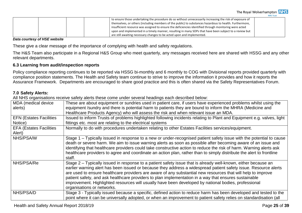| The Royal Wolverhampton <b>NHS</b> |  |
|------------------------------------|--|
| <b>NHS Trust</b>                   |  |

|  |  | to ensure those undertaking the procedure do so without unnecessarily increasing the risk of exposure of<br>themselves, or others (including members of the public) to substances hazardous to health. Furthermore,<br>insufficient resource was assigned to ensure the deficiencies identified through monitoring were acted |  |
|--|--|-------------------------------------------------------------------------------------------------------------------------------------------------------------------------------------------------------------------------------------------------------------------------------------------------------------------------------|--|
|  |  | upon and implemented in a timely manner, resulting in many SOPs that have been subject to a review but                                                                                                                                                                                                                        |  |
|  |  | are still awaiting necessary changes to be acted upon and implemented.                                                                                                                                                                                                                                                        |  |

#### *Data courtesy of HSE website*

These give a clear message of the importance of complying with health and safety regulations.

The H&S Team also participate in a Regional H&S Group who meet quarterly, any messages received here are shared with HSSG and any other relevant departments.

#### <span id="page-27-0"></span>**6.3 Learning from audit/inspection reports**

Policy compliance reporting continues to be reported via HSSG bi-monthly and 6 monthly to COG with Divisional reports provided quarterly with compliance position statements. The Health and Safety team continue to strive to improve the information it provides and how it reports the Assurance Framework. Departments are encouraged to share good practice and this is often shared via the Safety Representatives Forum.

#### <span id="page-27-1"></span>**7.0 Safety Alerts:**

All NHS organisations receive safety alerts these come under several headings each described below:

| MDA (medical device<br>alerts)<br><b>EFN (Estates Facilities)</b> | These are about equipment or sundries used in patient care, if users have experienced problems whilst using the<br>equipment /sundry and there is potential harm to patients they are bound to inform the MHRA (Medicine and<br>Healthcare Products Agency) who will assess the risk and when relevant issue an MDA.<br>Issued to inform Trusts of problems highlighted following incidents relating to Plant and Equipment e.g. valves, light                                                                                                                                                    |
|-------------------------------------------------------------------|---------------------------------------------------------------------------------------------------------------------------------------------------------------------------------------------------------------------------------------------------------------------------------------------------------------------------------------------------------------------------------------------------------------------------------------------------------------------------------------------------------------------------------------------------------------------------------------------------|
| Notice)                                                           | fittings etc. most are relating to the electrical systems                                                                                                                                                                                                                                                                                                                                                                                                                                                                                                                                         |
| <b>EFA (Estates Facilities)</b><br>Alert)                         | Normally to do with procedures undertaken relating to other Estates Facilities services/equipment.                                                                                                                                                                                                                                                                                                                                                                                                                                                                                                |
| NHS/PSA/W                                                         | Stage 1 – Typically issued in response to a new or under-recognised patient safety issue with the potential to cause<br>death or severe harm. We aim to issue warning alerts as soon as possible after becoming aware of an issue and<br>identifying that healthcare providers could take constructive action to reduce the risk of harm. Warning alerts ask<br>healthcare providers to agree and coordinate an action plan, rather than to simply distribute the alert to frontline<br>staff.                                                                                                    |
| NHS/PSA/Re                                                        | Stage 2 – Typically issued in response to a patient safety issue that is already well-known, either because an<br>earlier warning alert has been issued or because they address a widespread patient safety issue. Resource alerts<br>are used to ensure healthcare providers are aware of any substantial new resources that will help to improve<br>patient safety, and ask healthcare providers to plan implementation in a way that ensures sustainable<br>improvement. Highlighted resources will usually have been developed by national bodies, professional<br>organisations or networks. |
| NHS/PSA/D                                                         | Stage 3 - Typically issued because a specific, defined action to reduce harm has been developed and tested to the<br>point where it can be universally adopted, or when an improvement to patient safety relies on standardisation (all                                                                                                                                                                                                                                                                                                                                                           |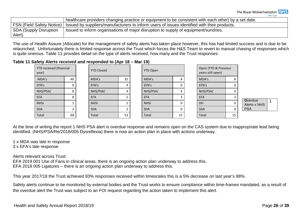|                           | healthcare providers changing practice or equipment to be consistent with each other) by a set date. |
|---------------------------|------------------------------------------------------------------------------------------------------|
| FSN (Field Safety Notice) | I Issued by suppliers/manufacturers to inform users of issues identified with their products.        |
| SDA (Supply Disruption    | Issued to inform organisations of major disruption to supply of equipment/sundries.                  |
| Alert)                    |                                                                                                      |

The use of Health Assure (Allocate) for the management of safety alerts has taken place however, this has had limited success and is due to be relaunched. Unfortunately there is limited response across the Trust which forces the H&S Team to revert to manual chasing of responses which is quite onerous. Table 11 provides detail on the type of alerts received, how many and the Trust responses:

#### **Table 11 Safety Alerts received and responded to (Apr 18 – Mar 19)**

| YTD received (financial<br>year) |    | <b>YTD Closed</b> |    | YTD Open    |    | Open (YTD & Previous<br>years still open) |    |                                 |
|----------------------------------|----|-------------------|----|-------------|----|-------------------------------------------|----|---------------------------------|
| MDA's                            | 40 | MDA's             | 32 | MDA's       |    | MDA's                                     | 8  |                                 |
| EFN's                            | q  | EFN's             | 9  | EFN's       |    | EFN's                                     |    |                                 |
| NHS/PSA/                         | 8  | NHS/PSA/          | 4  | NHS/PSA/    |    | NHS/PSA/                                  | 4  |                                 |
| <b>EFA</b>                       | 8  | <b>EFA</b>        |    | <b>EFA</b>  |    | <b>EFA</b>                                |    |                                 |
| <b>NHSI</b>                      |    | <b>NHSI</b>       |    | <b>NHSI</b> |    | DH                                        |    | <b>O</b> verdue<br>Alerts x NHS |
| <b>SDA</b>                       |    | <b>SDA</b>        |    | <b>SDA</b>  |    | <b>SDA</b>                                |    | <b>PSA</b>                      |
| Total                            | 68 | Total             | 53 | Total       | 15 | <b>Total</b>                              | 15 |                                 |

At the time of writing the report 1 NHS PSA alert is overdue response and remains open on the CAS system due to inappropriate lead being identified. (NHS/PSA/Re/2018/005 Dysreflexia) there is now an action plan in place with actions underway.

1 x MDA was late in response 3 x EFA's late response

Alerts relevant across Trust: EFA 2019 001 Use of Fans in clinical areas, there is an ongoing action plan underway to address this. EFA 2018 005 Ligatures – there is an ongoing action plan underway to address this.

This year 2017/18 the Trust achieved 93% responses received within timescales this is a 5% decrease on last year's 98%.

Safety alerts continue to be monitored by external bodies and the Trust works to ensure compliance within time-frames mandated, as a result of the overdue alert the Trust was subject to an FOI request regarding the action taken to implement this alert.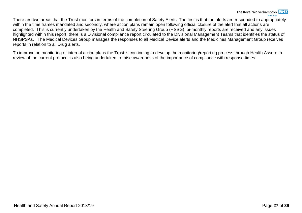There are two areas that the Trust monitors in terms of the completion of Safety Alerts, The first is that the alerts are responded to appropriately within the time frames mandated and secondly, where action plans remain open following official closure of the alert that all actions are completed. This is currently undertaken by the Health and Safety Steering Group (HSSG), bi-monthly reports are received and any issues highlighted within this report, there is a Divisional compliance report circulated to the Divisional Management Teams that identifies the status of NHSPSAs. The Medical Devices Group manages the responses to all Medical Device alerts and the Medicines Management Group receives reports in relation to all Drug alerts.

To improve on monitoring of internal action plans the Trust is continuing to develop the monitoring/reporting process through Health Assure, a review of the current protocol is also being undertaken to raise awareness of the importance of compliance with response times.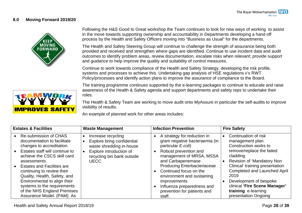#### <span id="page-30-0"></span>**8.0 Moving Forward 2019/20**



Following the H&S Good to Great workshop the Team continues to look for new ways of working to assist in the move towards supporting ownership and accountability in Departments developing a hand off process by the Health and Safety Officers moving into "Business as Usual" for the departments.

The Health and Safety Steering Group will continue to challenge the strength of assurance being both provided and received and strengthen where gaps are identified. Continue to use incident data and audit outcomes to identify problem areas, review documentation, escalate risks when relevant; provide support and guidance to help improve the quality and suitability of control measures.

Continue to work towards compliance of the Health and Safety Strategy, developing the risk profile, systems and processes to achieve this. Undertaking gap analysis of HSE regulations v's RWT Policy/processes and identify action plans to improve the assurance of compliance to the Board.

**IMPROVES SAFETY** 

The training programme continues supported by the e-learning packages to continue to educate and raise awareness of the Health & Safety agenda and support departments and safety reps to undertake their roles.

The Health & Safety Team are working to move audit onto MyAssure in particular the self-audits to improve visibility of results.

An example of planned work for other areas includes:

| <b>Estates &amp; Facilities</b>                                                                                                                                                                                                                                                                                                                                                                   | <b>Waste Management</b>                                                                                                                              | <b>Infection Prevention</b>                                                                                                                                                                                                                                                                                                                              | <b>Fire Safety</b>                                                                                                                                                                                                                                                                                                                                |
|---------------------------------------------------------------------------------------------------------------------------------------------------------------------------------------------------------------------------------------------------------------------------------------------------------------------------------------------------------------------------------------------------|------------------------------------------------------------------------------------------------------------------------------------------------------|----------------------------------------------------------------------------------------------------------------------------------------------------------------------------------------------------------------------------------------------------------------------------------------------------------------------------------------------------------|---------------------------------------------------------------------------------------------------------------------------------------------------------------------------------------------------------------------------------------------------------------------------------------------------------------------------------------------------|
| Re-submission of CHAS<br>documentation to facilitate<br>changes to accreditation.<br>Estates staff will continue to<br>achieve the CSCS skill card<br>assessments.<br><b>Estates and Facilities are</b><br>continuing to review their<br>Quality, Health, Safety, and<br>Environmental to align their<br>systems to the requirements<br>of the NHS England Premises<br>Assurance Model. (PAM). As | Increase recycling<br>Explore bring confidential<br>waste shredding in-house<br>Explore introduction of<br>recycling bin bank outside<br><b>UECC</b> | A strategy for reduction in<br>gram negative bacteraemia (in<br>particular E.coli)<br>Robust prevention and<br>management of MRSA, MSSA<br>and Carbapenemase<br><b>Producing Enterbacteriaceae</b><br>Continued focus on the<br>environment and sustaining<br><i>improvements</i><br>Influenza preparedness and<br>prevention for patients and<br>staff. | Continuation of risk<br>$\bullet$<br>management plan.<br>Construction works to<br>remove/replace the failed<br>cladding<br>Revision of 'Mandatory Non<br>Clinical' training presentation<br><b>Completed and Launched April</b><br>2019<br>Development of bespoke<br>clinical 'Fire Scene Manager'<br>training e-learning<br>presentation Ongoing |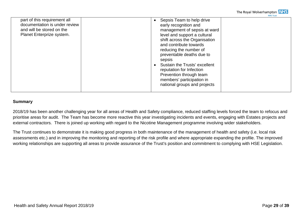

| part of this requirement all<br>documentation is under review<br>and will be stored on the<br>Planet Enterprize system. | Sepsis Team to help drive<br>early recognition and<br>management of sepsis at ward<br>level and support a cultural<br>shift across the Organisation<br>and contribute towards<br>reducing the number of<br>preventable deaths due to<br>sepsis<br>Sustain the Trusts' excellent<br>reputation for Infection<br>Prevention through team<br>members' participation in<br>national groups and projects |  |
|-------------------------------------------------------------------------------------------------------------------------|-----------------------------------------------------------------------------------------------------------------------------------------------------------------------------------------------------------------------------------------------------------------------------------------------------------------------------------------------------------------------------------------------------|--|

#### **Summary**

2018/19 has been another challenging year for all areas of Health and Safety compliance, reduced staffing levels forced the team to refocus and prioritise areas for audit. The Team has become more reactive this year investigating incidents and events, engaging with Estates projects and external contractors. There is joined up working with regard to the Nicotine Management programme involving wider stakeholders.

The Trust continues to demonstrate it is making good progress in both maintenance of the management of health and safety (i.e. local risk assessments etc.) and in improving the monitoring and reporting of the risk profile and where appropriate expanding the profile. The improved working relationships are supporting all areas to provide assurance of the Trust's position and commitment to complying with HSE Legislation.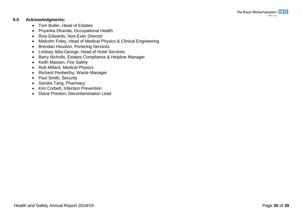#### <span id="page-32-0"></span>**9.0 Acknowledgments:**

- Tom Butler, Head of Estates
- Priyanka Dhanda, Occupational Health
- Rosi Edwards, Non-Exec Director
- Malcolm Foley, Head of Medical Physics & Clinical Engineering
- Brendan Houston, Portering Services
- Lindsey Ibbs-George, Head of Hotel Services
- Barry Nicholls, Estates Compliance & Helpline Manager
- Keith Massen, Fire Safety
- Rob Millard, Medical Physics
- Richard Penberthy, Waste Manager
- Paul Smith, Security
- Sandra Tang, Pharmacy
- Kim Corbett, Infection Prevention
- Diane Preston, Decontamination Lead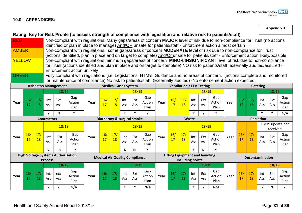#### <span id="page-33-0"></span>**10.0 APPENDICES:**

**Appendix 1**

|                                                                                                                                |           |                       | Rating: Key for Risk Profile (to assess strength of compliance with legislation and relative risk to patients/staff)                                         |                            |                                                                                                                            |                                                                                                                                   |                                                                                                                                     |                       |                             |            |                |                           |           |                                       |             |            |                |      |           |                        |                 |            |                  |
|--------------------------------------------------------------------------------------------------------------------------------|-----------|-----------------------|--------------------------------------------------------------------------------------------------------------------------------------------------------------|----------------------------|----------------------------------------------------------------------------------------------------------------------------|-----------------------------------------------------------------------------------------------------------------------------------|-------------------------------------------------------------------------------------------------------------------------------------|-----------------------|-----------------------------|------------|----------------|---------------------------|-----------|---------------------------------------|-------------|------------|----------------|------|-----------|------------------------|-----------------|------------|------------------|
| <b>RED</b>                                                                                                                     |           |                       |                                                                                                                                                              |                            | Non-compliant with regulations: Many gaps/areas of concern MAJOR level of risk due to non-compliance for Trust (no actions |                                                                                                                                   |                                                                                                                                     |                       |                             |            |                |                           |           |                                       |             |            |                |      |           |                        |                 |            |                  |
|                                                                                                                                |           |                       |                                                                                                                                                              |                            | identified or plan in place to manage) And/OR unsafe for patients/staff - Enforcment action almost certain                 |                                                                                                                                   |                                                                                                                                     |                       |                             |            |                |                           |           |                                       |             |            |                |      |           |                        |                 |            |                  |
| <b>AMBER</b>                                                                                                                   |           |                       |                                                                                                                                                              |                            |                                                                                                                            |                                                                                                                                   | Non-compliant with regulations: some gaps/areas of concern MODERATE level of risk due to non-compliance for Trust                   |                       |                             |            |                |                           |           |                                       |             |            |                |      |           |                        |                 |            |                  |
|                                                                                                                                |           |                       |                                                                                                                                                              |                            |                                                                                                                            |                                                                                                                                   | (actions identified, plan in place and on target to complete) And/Or unsafe for patients/staff - Enforcement action likely/possible |                       |                             |            |                |                           |           |                                       |             |            |                |      |           |                        |                 |            |                  |
| <b>YELLOW</b>                                                                                                                  |           |                       |                                                                                                                                                              |                            |                                                                                                                            | Non-compliant with regulations minimum gaps/areas of concern MINOR/INSIGNIFICANT level of risk due to non-compliance              |                                                                                                                                     |                       |                             |            |                |                           |           |                                       |             |            |                |      |           |                        |                 |            |                  |
|                                                                                                                                |           |                       |                                                                                                                                                              |                            |                                                                                                                            | for Trust (actions identified and plan in place and on target to complete) NO risk to patients/staff externally audited/assured - |                                                                                                                                     |                       |                             |            |                |                           |           |                                       |             |            |                |      |           |                        |                 |            |                  |
|                                                                                                                                |           |                       | Enforcement action unlikely<br>Fully compliant with regulations (i.e. Legislations, HTM's, Guidance and no areas of concern. (actions complete and monitored |                            |                                                                                                                            |                                                                                                                                   |                                                                                                                                     |                       |                             |            |                |                           |           |                                       |             |            |                |      |           |                        |                 |            |                  |
| <b>GREEN</b><br>for maintenance of compliance) No risk to patients/staff (Externally audited) -No enforcement action expected. |           |                       |                                                                                                                                                              |                            |                                                                                                                            |                                                                                                                                   |                                                                                                                                     |                       |                             |            |                |                           |           |                                       |             |            |                |      |           |                        |                 |            |                  |
|                                                                                                                                |           |                       |                                                                                                                                                              | <b>Asbestos Management</b> |                                                                                                                            |                                                                                                                                   |                                                                                                                                     |                       | <b>Medical Gases System</b> |            |                |                           |           | <b>Ventilation / LEV Testing</b>      |             |            |                |      |           |                        | <b>Catering</b> |            |                  |
|                                                                                                                                |           |                       |                                                                                                                                                              | 18/19                      |                                                                                                                            |                                                                                                                                   |                                                                                                                                     |                       |                             | 18/19      |                |                           |           |                                       |             | 18/19      |                |      |           |                        |                 | 18/19      |                  |
|                                                                                                                                |           |                       |                                                                                                                                                              |                            | Gap                                                                                                                        |                                                                                                                                   |                                                                                                                                     |                       |                             |            | Gap            |                           |           |                                       |             |            | Gap            |      |           |                        |                 |            | Gap              |
| Year                                                                                                                           | 16/<br>17 | 17/<br>18             | Int                                                                                                                                                          | Ext.                       | Action                                                                                                                     | Year                                                                                                                              | 16/<br>17                                                                                                                           | 17/<br><b>18</b>      | Int.                        | Ext        | Action         | Year                      | 16/<br>17 | 17/<br>18                             | Int.        | Ext        | Action         | Year | 16/<br>17 | 17/<br>18              | Int             | Ext        | Action           |
|                                                                                                                                |           |                       | Ass                                                                                                                                                          | Ass                        | Plan                                                                                                                       |                                                                                                                                   |                                                                                                                                     |                       | Ass                         | <b>Ass</b> | Plan           |                           |           |                                       | Ass         | Ass        | Plan           |      |           |                        | Ass             | Ass        | Plan             |
|                                                                                                                                |           |                       | Y                                                                                                                                                            | N                          | Y                                                                                                                          |                                                                                                                                   |                                                                                                                                     |                       | Y                           | Υ          | Y              |                           |           |                                       | ٧           | Υ          | Y              |      |           |                        | Υ               | Y          | N/A              |
|                                                                                                                                |           |                       | <b>Contractors</b>                                                                                                                                           |                            |                                                                                                                            |                                                                                                                                   | Diathermy & surgical smoke                                                                                                          |                       |                             |            |                | <b>Radiation</b><br>Waste |           |                                       |             |            |                |      |           |                        |                 |            |                  |
|                                                                                                                                |           |                       |                                                                                                                                                              | 18/19                      |                                                                                                                            |                                                                                                                                   |                                                                                                                                     |                       |                             | 18/19      |                |                           |           |                                       |             | 18/19      |                |      |           |                        |                 |            | 18/19 update not |
|                                                                                                                                |           |                       |                                                                                                                                                              |                            |                                                                                                                            |                                                                                                                                   |                                                                                                                                     |                       |                             |            |                |                           |           |                                       |             |            |                |      |           |                        |                 | received   |                  |
| Year                                                                                                                           | 16/       | 17/                   | Int                                                                                                                                                          | Ext                        | Gap                                                                                                                        | Year                                                                                                                              | 16/                                                                                                                                 | 17/                   | Int                         | Ext        | Gap            | Year                      | 16/       | 17/                                   | Int.        | Ext        | Gap            | Year | 16/       | 17/                    | Int             | Ext        | Gap              |
|                                                                                                                                | 17        | 18                    | Ass                                                                                                                                                          | <b>Ass</b>                 | Action<br>Plan                                                                                                             |                                                                                                                                   | 17                                                                                                                                  | 18                    | Ass                         | Ass        | Action<br>Plan |                           | 17        | 18                                    | Ass         | Ass        | Action<br>Plan |      | 17        | 18                     | Ass             | Ass        | Action<br>Plan   |
|                                                                                                                                |           |                       | Y                                                                                                                                                            | N                          | Y                                                                                                                          |                                                                                                                                   |                                                                                                                                     |                       | ${\sf N}$                   | N          | Y              |                           |           |                                       | Y           | N          | Y              |      |           |                        |                 |            |                  |
|                                                                                                                                |           |                       |                                                                                                                                                              |                            | <b>High Voltage Systems Authorisation</b>                                                                                  |                                                                                                                                   |                                                                                                                                     |                       |                             |            |                |                           |           | <b>Lifting Equipment and handling</b> |             |            |                |      |           |                        |                 |            |                  |
|                                                                                                                                |           |                       | <b>Process</b>                                                                                                                                               |                            |                                                                                                                            |                                                                                                                                   | <b>Medical Air Quality Compliance</b>                                                                                               |                       |                             |            |                |                           |           | including hoists                      |             |            |                |      |           | <b>Decontamination</b> |                 |            |                  |
|                                                                                                                                |           |                       |                                                                                                                                                              | 18/19                      |                                                                                                                            |                                                                                                                                   |                                                                                                                                     |                       | 18/19                       |            |                |                           |           |                                       | 18/19       |            |                |      |           |                        | 18/19           |            |                  |
|                                                                                                                                |           |                       |                                                                                                                                                              |                            | Gap                                                                                                                        |                                                                                                                                   |                                                                                                                                     |                       |                             |            | Gap            |                           |           |                                       |             |            | Gap            |      |           |                        |                 |            | Gap              |
| Year                                                                                                                           | 16/<br>17 | 17 <sub>l</sub><br>18 | Int.<br>Ass                                                                                                                                                  | ext<br>Ass                 | Action                                                                                                                     | Year                                                                                                                              | 16/<br>17                                                                                                                           | 17 <sub>l</sub><br>18 | Int<br>Ass                  | Ext<br>Ass | Action         | Year                      | 16/<br>17 | 17/<br>18                             | Int.<br>Ass | Ext<br>Ass | Action         | Year | 16/<br>17 | 17/<br>18              | Int<br>Ass      | Ext<br>Ass | Action           |
|                                                                                                                                |           |                       |                                                                                                                                                              |                            | Plan                                                                                                                       |                                                                                                                                   |                                                                                                                                     |                       |                             |            | Plan           |                           |           |                                       |             |            | Plan           |      |           |                        |                 |            | Plan             |
|                                                                                                                                |           |                       | Υ                                                                                                                                                            |                            | N/A                                                                                                                        |                                                                                                                                   |                                                                                                                                     |                       | Y                           | Υ          | N/A            |                           |           |                                       | Y           | Y          | N/A            |      |           |                        | Υ               | N          | Y                |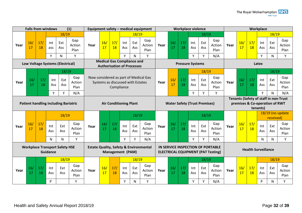| (1)<br><b>Falls from windows</b>                         |           |                  |                                                                              |                                                                        |                                                                       |      |                                   | Equipment safety - medical equipment<br><b>Workplace violence</b> |                                                                                                              |              |                                       |                                            |                                       |           |             | Workplace  |                       |      |           |           |            |              |                       |
|----------------------------------------------------------|-----------|------------------|------------------------------------------------------------------------------|------------------------------------------------------------------------|-----------------------------------------------------------------------|------|-----------------------------------|-------------------------------------------------------------------|--------------------------------------------------------------------------------------------------------------|--------------|---------------------------------------|--------------------------------------------|---------------------------------------|-----------|-------------|------------|-----------------------|------|-----------|-----------|------------|--------------|-----------------------|
|                                                          |           |                  |                                                                              | 18/19                                                                  |                                                                       |      |                                   |                                                                   |                                                                                                              | 18/19        |                                       |                                            |                                       |           |             | 18/19      |                       |      |           |           |            | 18/19        |                       |
| Year                                                     | 16/<br>17 | 17/<br>18        | int<br>ass                                                                   | Ext<br>Ass                                                             | Gap<br>Action<br>Plan                                                 | Year | 16/<br>17                         | 17/<br>18                                                         | Int<br>Ass                                                                                                   | Ext<br>Ass   | Gap<br>Action<br>Plan                 | Year                                       | 16/<br>17                             | 17/<br>18 | Int.<br>Ass | Ext<br>Ass | Gap<br>Action<br>Plan | Year | 16/<br>17 | 17/<br>18 | Int<br>Ass | Ext<br>Ass   | Gap<br>Action<br>Plan |
|                                                          |           |                  | Y                                                                            | N                                                                      | Y                                                                     |      |                                   |                                                                   | Y                                                                                                            | $\mathsf{N}$ | Y                                     |                                            |                                       |           | Y           | Y          | N/A                   |      |           |           | Y          | $\mathsf{N}$ | Y                     |
| Low Voltage Systems (Electrical)                         |           |                  |                                                                              | <b>Medical Gas Compliance and</b><br><b>Authorisation of Processes</b> |                                                                       |      |                                   | <b>Pressure Systems</b>                                           |                                                                                                              |              |                                       |                                            |                                       | Latex     |             |            |                       |      |           |           |            |              |                       |
|                                                          |           |                  |                                                                              | 18/19                                                                  |                                                                       |      |                                   |                                                                   |                                                                                                              |              |                                       |                                            |                                       |           |             | 18/19      |                       |      |           |           |            | 18/19        |                       |
| Year                                                     | 16/<br>17 | 17/<br><b>18</b> | Int<br>Ass                                                                   | Ext<br>Ass                                                             | Gap<br>Action<br>Plan                                                 |      | Systems as discussed with Estates | Compliance                                                        |                                                                                                              |              | Now considered as part of Medical Gas | Year                                       | 16/<br>17                             | 17/<br>18 | Int<br>Ass  | Ext<br>Ass | Gap<br>Action<br>Plan | Year | 16/<br>17 | 17/<br>18 | Int<br>Ass | Ext<br>Ass   | Gap<br>Action<br>Plan |
|                                                          |           |                  | Y                                                                            | Y                                                                      | N/A                                                                   |      |                                   |                                                                   |                                                                                                              |              |                                       |                                            |                                       |           | Y           | Υ          | Y                     |      |           |           | Y          | $\mathsf{N}$ | N/A                   |
|                                                          |           |                  |                                                                              |                                                                        |                                                                       |      |                                   |                                                                   |                                                                                                              |              |                                       |                                            | Tenants (Safety of staff in non-Trust |           |             |            |                       |      |           |           |            |              |                       |
| <b>Patient handling including Bariatric</b>              |           |                  |                                                                              |                                                                        | <b>Air Conditioning Plant</b><br><b>Water Safety (Trust Premises)</b> |      |                                   |                                                                   |                                                                                                              |              |                                       | premises & Co-operation of RWT<br>tenants) |                                       |           |             |            |                       |      |           |           |            |              |                       |
|                                                          |           |                  |                                                                              |                                                                        |                                                                       |      |                                   |                                                                   |                                                                                                              |              |                                       |                                            |                                       |           |             |            |                       |      |           |           |            |              | 18/19 (no update      |
|                                                          |           |                  |                                                                              | 18/19                                                                  |                                                                       |      |                                   |                                                                   |                                                                                                              | 18/19        |                                       |                                            |                                       |           |             | 18/19      |                       |      |           |           |            | received)    |                       |
| Year                                                     | 16/<br>17 | 17/<br>18        | Int<br>Ass                                                                   | Ext<br>Ass                                                             | Gap<br>Action<br>Plan                                                 | Year | 16/<br>17                         | 17/<br>18                                                         | Int<br>Ass                                                                                                   | Ext<br>Ass   | Gap<br>Action<br>Plan                 | Year                                       | 16/<br>17                             | 17/<br>18 | Int<br>Ass  | Ext<br>Ass | Gap<br>Action<br>Plan | Year | 16/<br>17 | 17/<br>18 | Int<br>Ass | Ext<br>Ass   | Gap<br>Action<br>Plan |
|                                                          |           |                  | $\mathsf{N}$                                                                 | N                                                                      | Y                                                                     |      |                                   |                                                                   | Y                                                                                                            | Y            | N/A                                   |                                            |                                       |           | Y           | Y          | N/A                   |      |           |           | N          | N            | Y                     |
| <b>Workplace Transport Safety HSE</b><br><b>Guidance</b> |           |                  | <b>Estate Quality, Safety &amp; Environmental</b><br><b>Management (PAM)</b> |                                                                        |                                                                       |      |                                   |                                                                   | IN SERVICE INSPECTION OF PORTABLE<br><b>Health Surveillance</b><br><b>ELECTRICAL EQUIPMENT (PAT Testing)</b> |              |                                       |                                            |                                       |           |             |            |                       |      |           |           |            |              |                       |
|                                                          |           |                  |                                                                              | 18/19                                                                  |                                                                       |      |                                   |                                                                   |                                                                                                              | 18/19        |                                       |                                            |                                       |           |             | 18/19      |                       |      |           |           |            | 18/19        |                       |
| Year                                                     | 16/<br>17 | 17/<br>18        | Int<br>Ass                                                                   | Ext<br>Ass                                                             | Gap<br>Action<br>Plan                                                 | Year | 16/<br>17                         | 17/<br>18                                                         | Int<br>Ass                                                                                                   | Ext<br>Ass   | Gap<br>Action<br>Plan                 | Year                                       | 16/<br>17                             | 17/<br>18 | Int<br>Ass  | Ext<br>Ass | Gap<br>Action<br>Plan | Year | 16/<br>17 | 17/<br>18 | Int<br>Ass | Ext<br>Ass   | Gap<br>Action<br>Plan |
|                                                          |           |                  | P                                                                            |                                                                        | Y                                                                     |      |                                   |                                                                   | Y                                                                                                            | N            | Υ                                     |                                            |                                       |           | Υ           | Υ          | N/A                   |      |           |           | P          | N            | Y                     |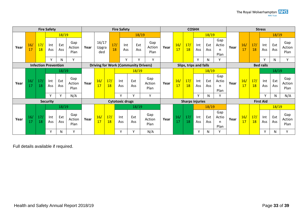| <b>Fire Safety</b>          |           |                       |                 | <b>Fire Safety</b> |                       |      |                       |                                             |                        |             |                       | <b>COSHH</b> |                        |           |                        |            | <b>Stress</b>             |      |                  |           |                  |            |                       |
|-----------------------------|-----------|-----------------------|-----------------|--------------------|-----------------------|------|-----------------------|---------------------------------------------|------------------------|-------------|-----------------------|--------------|------------------------|-----------|------------------------|------------|---------------------------|------|------------------|-----------|------------------|------------|-----------------------|
|                             |           |                       |                 | 18/19              |                       |      |                       |                                             |                        | 18/19       |                       |              |                        |           |                        | 18/19      |                           |      |                  |           |                  | 18/19      |                       |
| Year                        | 16/<br>17 | 17/<br>18             | Int<br>Ass      | Ext<br><b>Ass</b>  | Gap<br>Action<br>Plan | Year | 16/17<br>Upgra<br>ded | 17/<br>18                                   | Int<br>Ass             | Ext<br>Ass  | Gap<br>Action<br>Plan | Year         | 16/<br>17              | 17/<br>18 | Int<br><b>Ass</b>      | Ext<br>Ass | Gap<br>Actio<br>n<br>Plan | Year | 16/<br>17        | 17/<br>18 | Int<br>Ass       | Ext<br>Ass | Gap<br>Action<br>Plan |
|                             |           |                       | v               | N                  | Y                     |      |                       |                                             | $\mathsf{v}$           | $\mathbf v$ | v                     |              |                        |           | v                      | N          |                           |      |                  |           | $\checkmark$     | N          | Y                     |
| <b>Infection Prevention</b> |           |                       |                 |                    |                       |      |                       | <b>Driving for Work (Community Drivers)</b> |                        |             |                       |              | Slips, trips and falls |           |                        |            |                           |      | <b>Bed rails</b> |           |                  |            |                       |
|                             |           |                       |                 | 18/19              |                       |      |                       |                                             |                        | 18/19       |                       |              |                        |           |                        | 18/19      |                           |      |                  |           |                  | 18/19      |                       |
| Year                        | 16/<br>17 | 17/<br>18             | Int<br>Ass      | Ext<br>Ass         | Gap<br>Action<br>Plan | Year | 16/<br>17             | 17/<br>18                                   | Int<br>Ass             | Ext<br>Ass  | Gap<br>Action<br>Plan | Year         | 16/<br>17              | 17/<br>18 | Int<br>Ass             | Ext<br>Ass | Gap<br>Actio<br>n<br>Plan | Year | 16/<br>17        | 17/<br>18 | Int<br>Ass       | Ext<br>Ass | Gap<br>Action<br>Plan |
|                             |           |                       | $\mathsf{v}$    | $\mathbf v$        | N/A                   |      |                       |                                             | v                      | v           | Y                     |              |                        |           | $\vee$                 | N.         | $\mathbf{v}$              |      |                  |           | $\mathbf v$      | N          | N/A                   |
|                             |           |                       | <b>Security</b> |                    |                       |      |                       |                                             | <b>Cytotoxic drugs</b> |             |                       |              |                        |           | <b>Sharps injuries</b> |            |                           |      |                  |           | <b>First Aid</b> |            |                       |
|                             |           |                       |                 | 18/19              |                       |      |                       |                                             |                        | 18/19       |                       |              |                        |           |                        | 18/19      |                           |      |                  |           |                  | 18/19      |                       |
| Year                        | 16/<br>17 | 17 <sub>l</sub><br>18 | Int<br>Ass      | Ext<br><b>Ass</b>  | Gap<br>Action<br>Plan | Year | 16/<br>17             | 17/<br>18                                   | Int<br>Ass             | Ext<br>Ass  | Gap<br>Action<br>Plan | Year         | 16/                    | 17/<br>18 | Int<br>Ass             | Ext<br>Ass | Gap<br>Actio<br>n<br>Plan | Year | 16/<br>17        | 17/<br>18 | Int<br>Ass       | Ext<br>Ass | Gap<br>Action<br>Plan |
|                             |           |                       | Υ               | Ν                  | Y                     |      |                       |                                             | Υ                      | v           | N/A                   |              |                        |           | Y                      | N          |                           |      |                  |           | v                | N          | v                     |

Full details available if required.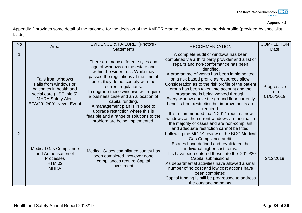**Appendix 2**

Appendix 2 provides some detail of the rationale for the decision of the AMBER graded subjects against the risk profile (provided by specialist leads)

| <b>No</b> | Area                                                                                                                                                              | <b>EVIDENCE &amp; FAILURE (Photo's -</b><br>Statement)                                                                                                                                                                                                                                                                                                                                                                                                                           | <b>RECOMMENDATION</b>                                                                                                                                                                                                                                                                                                                                                                                                                                                                                                                                                                                                                                                                               | <b>COMPLETION</b><br>Date         |
|-----------|-------------------------------------------------------------------------------------------------------------------------------------------------------------------|----------------------------------------------------------------------------------------------------------------------------------------------------------------------------------------------------------------------------------------------------------------------------------------------------------------------------------------------------------------------------------------------------------------------------------------------------------------------------------|-----------------------------------------------------------------------------------------------------------------------------------------------------------------------------------------------------------------------------------------------------------------------------------------------------------------------------------------------------------------------------------------------------------------------------------------------------------------------------------------------------------------------------------------------------------------------------------------------------------------------------------------------------------------------------------------------------|-----------------------------------|
|           | <b>Falls from windows</b><br>Falls from windows or<br>balconies in health and<br>social care (HSE Info 5)<br><b>MHRA Safety Alert</b><br>EFA/2012/001 Never Event | There are many different styles and<br>age of windows on the estate and<br>within the wider trust. While they<br>passed the regulations at the time of<br>build, they do not comply with the<br>current regulations.<br>To upgrade these windows will require<br>a business case and an allocation of<br>capital funding.<br>A management plan is in place to<br>upgrade restriction where this is<br>feasible and a range of solutions to the<br>problem are being implemented. | A complete audit of windows has been<br>completed via a third party provider and a list of<br>repairs and non-conformance has been<br>identified.<br>A programme of works has been implemented<br>on a risk based profile as resources allow.<br>Consideration as to the risk profile of the patient<br>group has been taken into account and the<br>programme is being worked through.<br>Every window above the ground floor currently<br>benefits from restriction but improvements are<br>required.<br>It is recommended that NX014 requires new<br>windows as the current windows are original in<br>the majority of cases and are non-compliant<br>and adequate restriction cannot be fitted. | Progressive<br>from<br>01/06/2019 |
| 2         | <b>Medical Gas Compliance</b><br>and Authorisation of<br><b>Processes</b><br><b>HTM 02</b><br><b>MHRA</b>                                                         | Medical Gases compliance survey has<br>been completed, however none<br>compliances require Capital<br>investment.                                                                                                                                                                                                                                                                                                                                                                | Following the MGPS review of the BOC Medical<br>Gas Compliance audit.<br>Estates have defined and revalidated the<br>individual higher cost items.<br>This have been entered these into the 2019/20<br>Capital submissions.<br>As departmental activities have allowed a small<br>number of no cost and low cost actions have<br>been completed.<br>Capital funding is still be progressed to address<br>the outstanding points.                                                                                                                                                                                                                                                                    | 2/12/2019                         |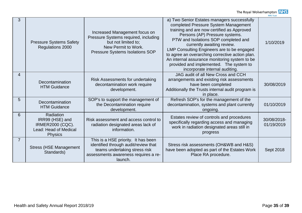|   |                                                                                                    |                                                                                                                                                                 |                                                                                                                                                                                                                                                                                                                                                                                                                                                                          | טכוסוויטוואו              |
|---|----------------------------------------------------------------------------------------------------|-----------------------------------------------------------------------------------------------------------------------------------------------------------------|--------------------------------------------------------------------------------------------------------------------------------------------------------------------------------------------------------------------------------------------------------------------------------------------------------------------------------------------------------------------------------------------------------------------------------------------------------------------------|---------------------------|
| 3 | <b>Pressure Systems Safety</b><br>Regulations 2000                                                 | Increased Management focus on<br>Pressure Systems required, including<br>but not limited to;<br>New Permit to Work.<br>Pressure Systems Isolations SOP          | a) Two Senior Estates managers successfully<br>completed Pressure System Management<br>training and are now certified as Approved<br>Persons (AP) Pressure systems.<br>PTW and Isolations SOP completed and<br>currently awaiting review.<br>LMP Consulting Engineers are to be engaged<br>to agree an overarching corrective action plan.<br>An internal assurance monitoring system to be<br>provided and implemented. The system to<br>incorporate internal auditing. | 1/10/2019                 |
| 4 | Decontamination<br><b>HTM Guidance</b>                                                             | Risk Assessments for undertaking<br>decontamination work require<br>development.                                                                                | JAG audit of all New Cross and CCH<br>arrangements and existing risk assessments<br>have been completed<br>Additionally the Trusts internal audit program is<br>in place.                                                                                                                                                                                                                                                                                                | 30/08/2019                |
| 5 | Decontamination<br><b>HTM Guidance</b>                                                             | SOP's to support the management of<br>the Decontamination require<br>development.                                                                               | Refresh SOP's for the management of the<br>decontamination, systems and plant currently<br>ongoing.                                                                                                                                                                                                                                                                                                                                                                      | 01/10/2019                |
| 6 | Radiation<br>IRR99 (HSE) and<br><b>IRMER2000 (CQC).</b><br>Lead: Head of Medical<br><b>Physics</b> | Risk assessment and access control to<br>radiation designated areas lack of<br>information.                                                                     | Estates review of controls and procedures<br>specifically regarding access and managing<br>work in radiation designated areas still in<br>progress                                                                                                                                                                                                                                                                                                                       | 30/08/2018-<br>01/19/2019 |
|   | <b>Stress (HSE Management</b><br>Standards)                                                        | This is a HSE priority. It has been<br>identified through audit/review that<br>teams undertaking stress risk<br>assessments awareness requires a re-<br>launch. | Stress risk assessments (OH&WB and H&S)<br>have been adopted as part of the Estates Work<br>Place RA procedure.                                                                                                                                                                                                                                                                                                                                                          | Sept 2018                 |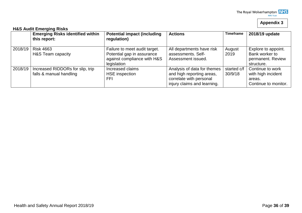#### **Appendix 3**

#### **H&S Audit Emerging Risks Emerging Risks identified within this report: Potential impact (including regulation)** Actions **Timeframe** 2018/19 update 2018/19 Risk 4663 H&S Team capacity Failure to meet audit target. Potential gap in assurance against compliance with H&S **legislation** All departments have risk assessments. Self-Assessment issued. August 2019 Explore to appoint. Bank worker to permanent. Review structure. 2018/19 Increased RIDDORs for slip, trip falls & manual handling Increased claims HSE inspection FFI Analysis of data for themes and high reporting areas, correlate with personal injury claims and learning. started c/f 30/9/18 Continue to work with high incident areas. Continue to monitor.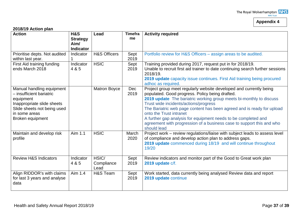## **Appendix 4**

#### **2018/19 Action plan**

| . <i>.</i><br><b>Action</b>                                                                                                                                          | H&S<br><b>Strategy</b><br>Aim/<br><b>Indicator</b> | Lead                        | <b>Timefra</b><br>me | <b>Activity required</b>                                                                                                                                                                                                                                                                                                                                                                                                                                                                             |
|----------------------------------------------------------------------------------------------------------------------------------------------------------------------|----------------------------------------------------|-----------------------------|----------------------|------------------------------------------------------------------------------------------------------------------------------------------------------------------------------------------------------------------------------------------------------------------------------------------------------------------------------------------------------------------------------------------------------------------------------------------------------------------------------------------------------|
| Prioritise depts. Not audited<br>within last year.                                                                                                                   | Indicator                                          | <b>H&amp;S Officers</b>     | Sept<br>2019         | Portfolio review for H&S Officers - assign areas to be audited.                                                                                                                                                                                                                                                                                                                                                                                                                                      |
| First Aid training funding<br>ends March 2018                                                                                                                        | Indicator<br>4 & 5                                 | <b>HSIC</b>                 | Sept<br>2019         | Training provided during 2017, request put in for 2018/19.<br>Unable to recruit first aid trainer to date continuing search further sessions<br>2018/19.<br>2019 update capacity issue continues. First Aid training being procured<br>adhoc as required.                                                                                                                                                                                                                                            |
| Manual handling equipment<br>- insufficient bariatric<br>equipment<br>Inappropriate slide sheets<br>Slide sheets not being used<br>in some areas<br>Broken equipment |                                                    | <b>Matron Boyce</b>         | Dec<br>2019          | Project group meet regularly website developed and currently being<br>populated. Good progress. Policy being drafted.<br>2019 update The bariatric working group meets bi-monthly to discuss<br>Trust wide incidents/actions/progress<br>The Bariatric web page content has been agreed and is ready for upload<br>onto the Trust intranet<br>A further gap analysis for equipment needs to be completed and<br>agreement with progression of a business case to support this and who<br>should lead |
| Maintain and develop risk<br>profile                                                                                                                                 | Aim 1.1                                            | <b>HSIC</b>                 | March<br>2020        | Project work - review regulations/liaise with subject leads to assess level<br>of compliance and develop action plan to address gaps.<br>2019 update commenced during 18/19 and will continue throughout<br>19/20                                                                                                                                                                                                                                                                                    |
| <b>Review H&amp;S Indicators</b>                                                                                                                                     | Indicator<br>4 & 5                                 | HSIC/<br>Compliance<br>Lead | Sept<br>2019         | Review indicators and monitor part of the Good to Great work plan<br>2019 update c/f.                                                                                                                                                                                                                                                                                                                                                                                                                |
| Align RIDDOR's with claims<br>for last 3 years and analyse<br>data                                                                                                   | Aim 1.4                                            | H&S Team                    | Sept<br>2019         | Work started, data currently being analysed Review data and report<br>2019 update continue                                                                                                                                                                                                                                                                                                                                                                                                           |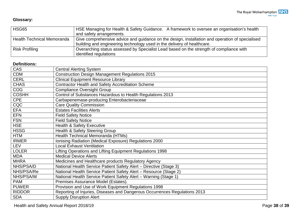### **Glossary:**

| <b>HSG65</b>                      | HSE Managing for Health & Safety Guidance. A framework to oversee an organisation's health<br>and safety arrangements. |
|-----------------------------------|------------------------------------------------------------------------------------------------------------------------|
| <b>Health Technical Memoranda</b> | Give comprehensive advice and guidance on the design, installation and operation of specialised                        |
|                                   | building and engineering technology used in the delivery of healthcare.                                                |
| <b>Risk Profiling</b>             | Overarching status assessed by Specialist Lead based on the strength of compliance with                                |
|                                   | identified regulations                                                                                                 |

#### **Definitions:**

| CAS           | <b>Central Alerting System</b>                                             |
|---------------|----------------------------------------------------------------------------|
| <b>CDM</b>    | <b>Construction Design Management Regulations 2015</b>                     |
| <b>CERL</b>   | <b>Clinical Equipment Resource Library</b>                                 |
| <b>CHAS</b>   | <b>Contractor Health and Safety Accreditation Scheme</b>                   |
| <b>COG</b>    | <b>Compliance Oversight Group</b>                                          |
| <b>COSHH</b>  | Control of Substances Hazardous to Health Regulations 2013                 |
| CPE           | Carbapenemase-producing Enterobacteriaceae                                 |
| CQC           | <b>Care Quality Commission</b>                                             |
| <b>EFA</b>    | <b>Estates Facilities Alerts</b>                                           |
| <b>EFN</b>    | <b>Field Safety Notice</b>                                                 |
| <b>FSN</b>    | <b>Field Safety Notice</b>                                                 |
| <b>HSE</b>    | <b>Health &amp; Safety Executive</b>                                       |
| <b>HSSG</b>   | Health & Safety Steering Group                                             |
| <b>HTM</b>    | Health Technical Memoranda (HTMs)                                          |
| <b>IRMER</b>  | Ionising Radiation (Medical Exposure) Regulations 2000                     |
| LEV           | <b>Local Exhaust Ventilation</b>                                           |
| <b>LOLER</b>  | Lifting Operations and Lifting Equipment Regulations 1998                  |
| <b>MDA</b>    | <b>Medical Device Alerts</b>                                               |
| <b>MHRA</b>   | Medicines and Healthcare products Regulatory Agency                        |
| NHS/PSA/D     | National Health Service Patient Safety Alert - Directive (Stage 3)         |
| NHS/PSA/Re    | National Health Service Patient Safety Alert - Resource (Stage 2)          |
| NHS/PSA/W     | National Health Service Patient Safety Alert - Warning (Stage 1)           |
| <b>PAM</b>    | Premises Assurance Model (Estates).                                        |
| <b>PUWER</b>  | Provision and Use of Work Equipment Regulations 1998                       |
| <b>RIDDOR</b> | Reporting of Injuries, Diseases and Dangerous Occurrences Regulations 2013 |
| <b>SDA</b>    | <b>Supply Disruption Alert</b>                                             |